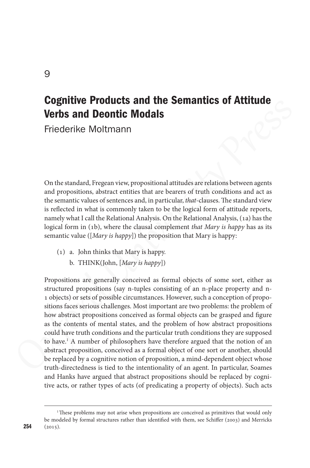# Cognitive Products and the Semantics of Attitude Verbs and Deontic Modals

Friederike Moltmann

On the standard, Fregean view, propositional attitudes are relations between agents and propositions, abstract entities that are bearers of truth conditions and act as the semantic values of sentences and, in particular, *that*-clauses. The standard view is reflected in what is commonly taken to be the logical form of attitude reports, namely what I call the Relational Analysis. On the Relational Analysis, (1a) has the logical form in (1b), where the clausal complement *that Mary is happy* has as its semantic value ([*Mary is happy*]) the proposition that Mary is happy:

- (1) a. John thinks that Mary is happy.
	- b. THINK(John, [*Mary is happy*])

**Cognitive Products and the Semantics or Attitude<br>Verbs and Deontic Modals<br>Friederike Moltmann<br>
On the standard, Fregean view, propositional attitudes are relations between agents<br>
and propositions, abstract entities that** Propositions are generally conceived as formal objects of some sort, either as structured propositions (say n-tuples consisting of an n-place property and n-1 objects) or sets of possible circumstances. However, such a conception of propositions faces serious challenges. Most important are two problems: the problem of how abstract propositions conceived as formal objects can be grasped and figure as the contents of mental states, and the problem of how abstract propositions could have truth conditions and the particular truth conditions they are supposed to have.1 A number of philosophers have therefore argued that the notion of an abstract proposition, conceived as a formal object of one sort or another, should be replaced by a cognitive notion of proposition, a mind-dependent object whose truth-directedness is tied to the intentionality of an agent. In particular, Soames and Hanks have argued that abstract propositions should be replaced by cognitive acts, or rather types of acts (of predicating a property of objects). Such acts

<sup>1</sup>These problems may not arise when propositions are conceived as primitives that would only be modeled by formal structures rather than identified with them, see Schiffer (2003) and Merricks  $(2015).$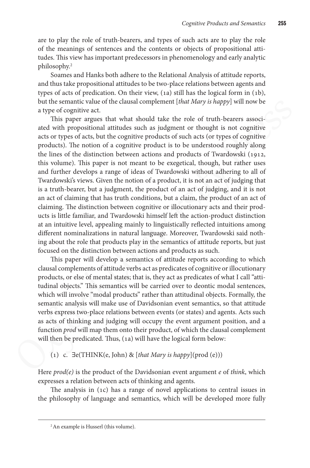are to play the role of truth-bearers, and types of such acts are to play the role of the meanings of sentences and the contents or objects of propositional attitudes. This view has important predecessors in phenomenology and early analytic philosophy.2

Soames and Hanks both adhere to the Relational Analysis of attitude reports, and thus take propositional attitudes to be two-place relations between agents and types of acts of predication. On their view, (1a) still has the logical form in (1b), but the semantic value of the clausal complement [*that Mary is happy*] will now be a type of cognitive act.

but the semantic value of the clausal complement [*that Mary is happy*] will now be<br>at type of cognitive act.<br>This paper agues that what should take the role of truth-beners associ-<br>and with propositional attitudes such a This paper argues that what should take the role of truth-bearers associated with propositional attitudes such as judgment or thought is not cognitive acts or types of acts, but the cognitive products of such acts (or types of cognitive products). The notion of a cognitive product is to be understood roughly along the lines of the distinction between actions and products of Twardowski (1912, this volume). This paper is not meant to be exegetical, though, but rather uses and further develops a range of ideas of Twardowski without adhering to all of Twardowski's views. Given the notion of a product, it is not an act of judging that is a truth-bearer, but a judgment, the product of an act of judging, and it is not an act of claiming that has truth conditions, but a claim, the product of an act of claiming. The distinction between cognitive or illocutionary acts and their products is little familiar, and Twardowski himself left the action-product distinction at an intuitive level, appealing mainly to linguistically reflected intuitions among different nominalizations in natural language. Moreover, Twardowski said nothing about the role that products play in the semantics of attitude reports, but just focused on the distinction between actions and products as such.

This paper will develop a semantics of attitude reports according to which clausal complements of attitude verbs act as predicates of cognitive or illocutionary products, or else of mental states; that is, they act as predicates of what I call "attitudinal objects." This semantics will be carried over to deontic modal sentences, which will involve "modal products" rather than attitudinal objects. Formally, the semantic analysis will make use of Davidsonian event semantics, so that attitude verbs express two-place relations between events (or states) and agents. Acts such as acts of thinking and judging will occupy the event argument position, and a function *prod* will map them onto their product, of which the clausal complement will then be predicated. Thus,  $(1a)$  will have the logical form below:

(1) c. ∃e(THINK(e, John) & [*that Mary is happy*](prod (e)))

Here *prod(e)* is the product of the Davidsonian event argument *e* of *think*, which expresses a relation between acts of thinking and agents.

The analysis in (1c) has a range of novel applications to central issues in the philosophy of language and semantics, which will be developed more fully

<sup>&</sup>lt;sup>2</sup>An example is Husserl (this volume).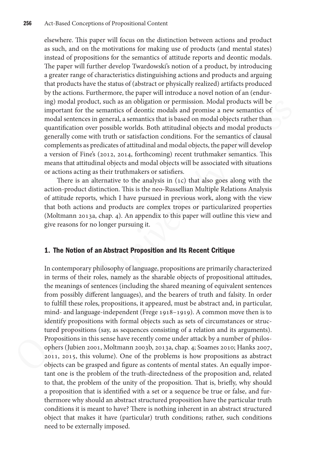elsewhere. This paper will focus on the distinction between actions and product as such, and on the motivations for making use of products (and mental states) instead of propositions for the semantics of attitude reports and deontic modals. The paper will further develop Twardowski's notion of a product, by introducing a greater range of characteristics distinguishing actions and products and arguing that products have the status of (abstract or physically realized) artifacts produced by the actions. Furthermore, the paper will introduce a novel notion of an (enduring) modal product, such as an obligation or permission. Modal products will be important for the semantics of deontic modals and promise a new semantics of modal sentences in general, a semantics that is based on modal objects rather than quantification over possible worlds. Both attitudinal objects and modal products generally come with truth or satisfaction conditions. For the semantics of clausal complements as predicates of attitudinal and modal objects, the paper will develop a version of Fine's (2012, 2014, forthcoming) recent truthmaker semantics. This means that attitudinal objects and modal objects will be associated with situations or actions acting as their truthmakers or satisfiers.

There is an alternative to the analysis in (1c) that also goes along with the action-product distinction. This is the neo-Russellian Multiple Relations Analysis of attitude reports, which I have pursued in previous work, along with the view that both actions and products are complex tropes or particularized properties (Moltmann 2013a, chap. 4). An appendix to this paper will outline this view and give reasons for no longer pursuing it.

### 1. The Notion of an Abstract Proposition and Its Recent Critique

ing) modal product, such as an obligation or permission. Modal products will be<br>important for the semantics of deontic modals and promise a new semantics of<br>modal sentences in general, a semantic that is based on modal obj In contemporary philosophy of language, propositions are primarily characterized in terms of their roles, namely as the sharable objects of propositional attitudes, the meanings of sentences (including the shared meaning of equivalent sentences from possibly different languages), and the bearers of truth and falsity. In order to fulfill these roles, propositions, it appeared, must be abstract and, in particular, mind- and language-independent (Frege 1918–1919). A common move then is to identify propositions with formal objects such as sets of circumstances or structured propositions (say, as sequences consisting of a relation and its arguments). Propositions in this sense have recently come under attack by a number of philosophers (Jubien 2001, Moltmann 2003b, 2013a, chap. 4; Soames 2010; Hanks 2007, 2011, 2015, this volume). One of the problems is how propositions as abstract objects can be grasped and figure as contents of mental states. An equally important one is the problem of the truth-directedness of the proposition and, related to that, the problem of the unity of the proposition. That is, briefly, why should a proposition that is identified with a set or a sequence be true or false, and furthermore why should an abstract structured proposition have the particular truth conditions it is meant to have? There is nothing inherent in an abstract structured object that makes it have (particular) truth conditions; rather, such conditions need to be externally imposed.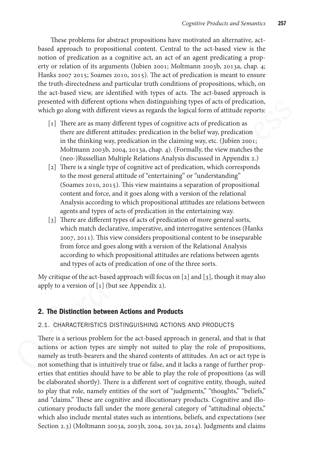These problems for abstract propositions have motivated an alternative, actbased approach to propositional content. Central to the act-based view is the notion of predication as a cognitive act, an act of an agent predicating a property or relation of its arguments (Jubien 2001; Moltmann 2003b, 2013a, chap. 4; Hanks 2007 2015; Soames 2010, 2015). The act of predication is meant to ensure the truth-directedness and particular truth conditions of propositions, which, on the act-based view, are identified with types of acts. The act-based approach is presented with different options when distinguishing types of acts of predication, which go along with different views as regards the logical form of attitude reports:

- [1] There are as many different types of cognitive acts of predication as there are different attitudes: predication in the belief way, predication in the thinking way, predication in the claiming way, etc. (Jubien 2001; Moltmann 2003b, 2004, 2013a, chap. 4). (Formally, the view matches the (neo-)Russellian Multiple Relations Analysis discussed in Appendix 2.)
- [2] There is a single type of cognitive act of predication, which corresponds to the most general attitude of "entertaining" or "understanding" (Soames 2010, 2015). This view maintains a separation of propositional content and force, and it goes along with a version of the relational Analysis according to which propositional attitudes are relations between agents and types of acts of predication in the entertaining way.
- presented with different options when distinguishing types of acts of prediction,<br>
unity this different options when distinguishing types of coordinates<br>
[1] There are as many different types of cognitive acts of predicat [3] There are different types of acts of predication of more general sorts, which match declarative, imperative, and interrogative sentences (Hanks 2007, 2011). This view considers propositional content to be inseparable from force and goes along with a version of the Relational Analysis according to which propositional attitudes are relations between agents and types of acts of predication of one of the three sorts.

My critique of the act-based approach will focus on [2] and [3], though it may also apply to a version of  $[1]$  (but see Appendix 2).

# 2. The Distinction between Actions and Products

### 2.1. CHARACTERISTICS DISTINGUISHING ACTIONS AND PRODUCTS

There is a serious problem for the act-based approach in general, and that is that actions or action types are simply not suited to play the role of propositions, namely as truth-bearers and the shared contents of attitudes. An act or act type is not something that is intuitively true or false, and it lacks a range of further properties that entities should have to be able to play the role of propositions (as will be elaborated shortly). There is a different sort of cognitive entity, though, suited to play that role, namely entities of the sort of "judgments," "thoughts," "beliefs," and "claims." These are cognitive and illocutionary products. Cognitive and illocutionary products fall under the more general category of "attitudinal objects," which also include mental states such as intentions, beliefs, and expectations (see Section 2.3) (Moltmann 2003a, 2003b, 2004, 2013a, 2014). Judgments and claims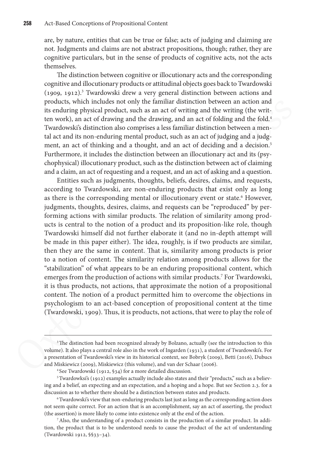are, by nature, entities that can be true or false; acts of judging and claiming are not. Judgments and claims are not abstract propositions, though; rather, they are cognitive particulars, but in the sense of products of cognitive acts, not the acts themselves.

The distinction between cognitive or illocutionary acts and the corresponding cognitive and illocutionary products or attitudinal objects goes back to Twardowski (1909, 1912).<sup>3</sup> Twardowski drew a very general distinction between actions and products, which includes not only the familiar distinction between an action and its enduring physical product, such as an act of writing and the writing (the written work), an act of drawing and the drawing, and an act of folding and the fold.<sup>4</sup> Twardowski's distinction also comprises a less familiar distinction between a mental act and its non-enduring mental product, such as an act of judging and a judgment, an act of thinking and a thought, and an act of deciding and a decision.<sup>5</sup> Furthermore, it includes the distinction between an illocutionary act and its (psychophysical) illocutionary product, such as the distinction between act of claiming and a claim, an act of requesting and a request, and an act of asking and a question.

products, which includes not only the familiar distinction between an action and the variing the variing the variing the variing the drawing and the drawing and the drawing and the drawing and the drawing and the drawing Entities such as judgments, thoughts, beliefs, desires, claims, and requests, according to Twardowski, are non-enduring products that exist only as long as there is the corresponding mental or illocutionary event or state.<sup>6</sup> However, judgments, thoughts, desires, claims, and requests can be "reproduced" by performing actions with similar products. The relation of similarity among products is central to the notion of a product and its proposition-like role, though Twardowski himself did not further elaborate it (and no in-depth attempt will be made in this paper either). The idea, roughly, is if two products are similar, then they are the same in content. That is, similarity among products is prior to a notion of content. The similarity relation among products allows for the "stabilization" of what appears to be an enduring propositional content, which emerges from the production of actions with similar products.7 For Twardowski, it is thus products, not actions, that approximate the notion of a propositional content. The notion of a product permitted him to overcome the objections in psychologism to an act-based conception of propositional content at the time (Twardowski, 1909). Thus, it is products, not actions, that were to play the role of

<sup>&</sup>lt;sup>3</sup>The distinction had been recognized already by Bolzano, actually (see the introduction to this volume). It also plays a central role also in the work of Ingarden (1931), a student of Twardowski's. For a presentation of Twardowski's view in its historical context, see Bobryk (2009), Betti (2016), Dubucs and Miskiewicz (2009), Miskiewicz (this volume), and van der Schaar (2006).

<sup>4</sup> See Twardowski (1912, §34) for a more detailed discussion.

<sup>5</sup>Twardowksi's (1912) examples actually include also states and their "products," such as a believing and a belief, an expecting and an expectation, and a hoping and a hope. But see Section 2.3. for a discussion as to whether there should be a distinction between states and products.

<sup>6</sup>Twardowski's view that non-enduring products last just as long as the corresponding action does not seem quite correct. For an action that is an accomplishment, say an act of asserting, the product (the assertion) is more likely to come into existence only at the end of the action.

<sup>7</sup>Also, the understanding of a product consists in the production of a similar product. In addition, the product that is to be understood needs to cause the product of the act of understanding (Twardowski 1912, §§33–34).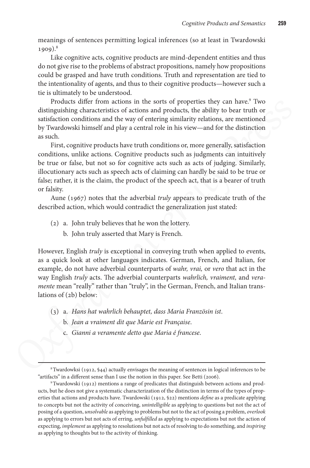meanings of sentences permitting logical inferences (so at least in Twardowski  $1909$ ).<sup>8</sup>

Like cognitive acts, cognitive products are mind-dependent entities and thus do not give rise to the problems of abstract propositions, namely how propositions could be grasped and have truth conditions. Truth and representation are tied to the intentionality of agents, and thus to their cognitive products—however such a tie is ultimately to be understood.

Products differ from actions in the sorts of properties they can have.<sup>9</sup> Two distinguishing characteristics of actions and products, the ability to bear truth or satisfaction conditions and the way of entering similarity relations, are mentioned by Twardowski himself and play a central role in his view—and for the distinction as such.

First, cognitive products have truth conditions or, more generally, satisfaction conditions, unlike actions. Cognitive products such as judgments can intuitively be true or false, but not so for cognitive acts such as acts of judging. Similarly, illocutionary acts such as speech acts of claiming can hardly be said to be true or false; rather, it is the claim, the product of the speech act, that is a bearer of truth or falsity.

Aune (1967) notes that the adverbial *truly* appears to predicate truth of the described action, which would contradict the generalization just stated:

- (2) a. John truly believes that he won the lottery.
	- b. John truly asserted that Mary is French.

Products differ from actions in the sorts of properties they can have? Two distinguishing characteristies of actions and products, the ability to bear truth or satisfaction conditions and the way of entering similarity re However, English *truly* is exceptional in conveying truth when applied to events, as a quick look at other languages indicates. German, French, and Italian, for example, do not have adverbial counterparts of *wahr, vrai,* or *vero* that act in the way English *truly* acts. The adverbial counterparts *wahrlich, vraiment,* and *veramente* mean "really" rather than "truly", in the German, French, and Italian translations of (2b) below:

- (3) a. *Hans hat wahrlich behauptet, dass Maria Französin ist*.
	- b. *Jean a vraiment dit que Marie est Française*.
	- c. *Gianni a veramente detto que Maria é francese*.

 $8$ Twardowksi (1912,  $\S$ 44) actually envisages the meaning of sentences in logical inferences to be "artifacts" in a different sense than I use the notion in this paper. See Betti (2006).

<sup>9</sup>Twardowski (1912) mentions a range of predicates that distinguish between actions and products, but he does not give a systematic characterization of the distinction in terms of the types of properties that actions and products have. Twardowski (1912, §22) mentions *define* as a predicate applying to concepts but not the activity of conceiving, *unintelligible* as applying to questions but not the act of posing of a question, *unsolvable* as applying to problems but not to the act of posing a problem, *overlook* as applying to errors but not acts of erring, *unfulfilled* as applying to expectations but not the action of expecting, *implement* as applying to resolutions but not acts of resolving to do something, and *inspiring* as applying to thoughts but to the activity of thinking.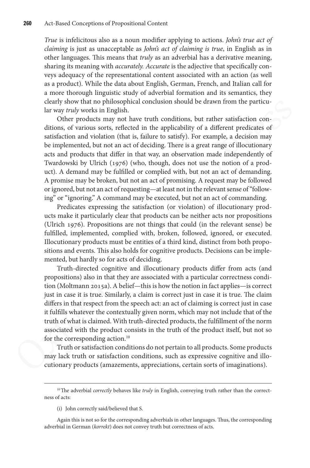*True* is infelicitous also as a noun modifier applying to actions. *John's true act of claiming* is just as unacceptable as *John's act of claiming is true*, in English as in other languages. This means that *truly* as an adverbial has a derivative meaning, sharing its meaning with *accurately. Accurate* is the adjective that specifically conveys adequacy of the representational content associated with an action (as well as a product). While the data about English, German, French, and Italian call for a more thorough linguistic study of adverbial formation and its semantics, they clearly show that no philosophical conclusion should be drawn from the particular way *truly* works in English.

elearly show that no philosophical conclusion should be drawn from the particu-<br>lar way fruly works in English.<br>Other products may proble tend to continuous but that existisfaction con-<br>ditions, of various sorts, reflected Other products may not have truth conditions, but rather satisfaction conditions, of various sorts, reflected in the applicability of a different predicates of satisfaction and violation (that is, failure to satisfy). For example, a decision may be implemented, but not an act of deciding. There is a great range of illocutionary acts and products that differ in that way, an observation made independently of Twardowski by Ulrich (1976) (who, though, does not use the notion of a product). A demand may be fulfilled or complied with, but not an act of demanding. A promise may be broken, but not an act of promising. A request may be followed or ignored, but not an act of requesting—at least not in the relevant sense of "following" or "ignoring." A command may be executed, but not an act of commanding.

Predicates expressing the satisfaction (or violation) of illocutionary products make it particularly clear that products can be neither acts nor propositions (Ulrich 1976). Propositions are not things that could (in the relevant sense) be fulfilled, implemented, complied with, broken, followed, ignored, or executed. Illocutionary products must be entities of a third kind, distinct from both propositions and events. This also holds for cognitive products. Decisions can be implemented, but hardly so for acts of deciding.

Truth-directed cognitive and illocutionary products differ from acts (and propositions) also in that they are associated with a particular correctness condition (Moltmann 2015a). A belief—this is how the notion in fact applies—is correct just in case it is true. Similarly, a claim is correct just in case it is true. The claim differs in that respect from the speech act: an act of claiming is correct just in case it fulfills whatever the contextually given norm, which may not include that of the truth of what is claimed. With truth-directed products, the fulfillment of the norm associated with the product consists in the truth of the product itself, but not so for the corresponding action.<sup>10</sup>

Truth or satisfaction conditions do not pertain to all products. Some products may lack truth or satisfaction conditions, such as expressive cognitive and illocutionary products (amazements, appreciations, certain sorts of imaginations).

<sup>&</sup>lt;sup>10</sup>The adverbial *correctly* behaves like *truly* in English, conveying truth rather than the correctness of acts:

<sup>(</sup>i) John correctly said/believed that S.

Again this is not so for the corresponding adverbials in other languages. Thus, the corresponding adverbial in German (*korrekt*) does not convey truth but correctness of acts.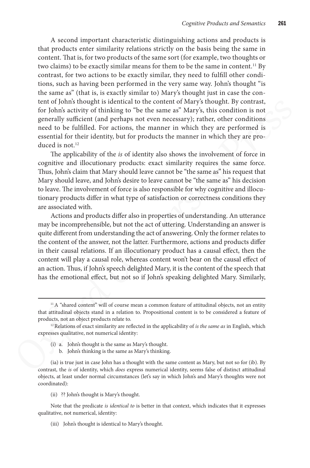A second important characteristic distinguishing actions and products is that products enter similarity relations strictly on the basis being the same in content. That is, for two products of the same sort (for example, two thoughts or two claims) to be exactly similar means for them to be the same in content.<sup>11</sup> By contrast, for two actions to be exactly similar, they need to fulfill other conditions, such as having been performed in the very same way. John's thought "is the same as" (that is, is exactly similar to) Mary's thought just in case the content of John's thought is identical to the content of Mary's thought. By contrast, for John's activity of thinking to "be the same as" Mary's, this condition is not generally sufficient (and perhaps not even necessary); rather, other conditions need to be fulfilled. For actions, the manner in which they are performed is essential for their identity, but for products the manner in which they are produced is not.<sup>12</sup>

The applicability of the *is* of identity also shows the involvement of force in cognitive and illocutionary products: exact similarity requires the same force. Thus, John's claim that Mary should leave cannot be "the same as" his request that Mary should leave, and John's desire to leave cannot be "the same as" his decision to leave. The involvement of force is also responsible for why cognitive and illocutionary products differ in what type of satisfaction or correctness conditions they are associated with.

tent of Johns's houselait is identical to the content of Mary's thought. By contrast, for John's activity of thinking to "be the same as" Mary's, this condition is not generally sufficient (and predator) such teven necess Actions and products differ also in properties of understanding. An utterance may be incomprehensible, but not the act of uttering. Understanding an answer is quite different from understanding the act of answering. Only the former relates to the content of the answer, not the latter. Furthermore, actions and products differ in their causal relations. If an illocutionary product has a causal effect, then the content will play a causal role, whereas content won't bear on the causal effect of an action. Thus, if John's speech delighted Mary, it is the content of the speech that has the emotional effect, but not so if John's speaking delighted Mary. Similarly,

12Relations of exact similarity are reflected in the applicability of *is the same as* in English, which expresses qualitative, not numerical identity:

- (i) a. John's thought is the same as Mary's thought.
	- b. John's thinking is the same as Mary's thinking.

(ia) is true just in case John has a thought with the same content as Mary, but not so for (ib). By contrast, the *is* of identity, which *does* express numerical identity, seems false of distinct attitudinal objects, at least under normal circumstances (let's say in which John's and Mary's thoughts were not coordinated):

(ii) ?? John's thought is Mary's thought.

Note that the predicate *is identical to* is better in that context, which indicates that it expresses qualitative, not numerical, identity:

(iii) John's thought is identical to Mary's thought.

 $11A$  "shared content" will of course mean a common feature of attitudinal objects, not an entity that attitudinal objects stand in a relation to. Propositional content is to be considered a feature of products, not an object products relate to.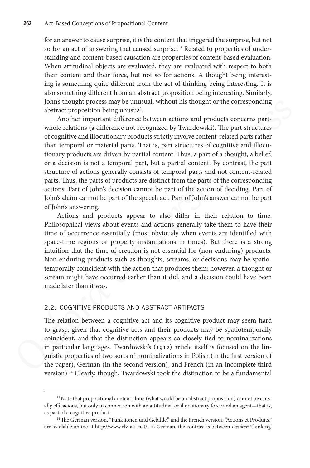for an answer to cause surprise, it is the content that triggered the surprise, but not so for an act of answering that caused surprise.<sup>13</sup> Related to properties of understanding and content-based causation are properties of content-based evaluation. When attitudinal objects are evaluated, they are evaluated with respect to both their content and their force, but not so for actions. A thought being interesting is something quite different from the act of thinking being interesting. It is also something different from an abstract proposition being interesting. Similarly, John's thought process may be unusual, without his thought or the corresponding abstract proposition being unusual.

John's thought process may be unusual, without his thought or the corresponding<br>dots throught process may be unusual.<br>Another important difference between actions and products oroccers<br>who relations (a difference not recog Another important difference between actions and products concerns partwhole relations (a difference not recognized by Twardowski). The part structures of cognitive and illocutionary products strictly involve content-related parts rather than temporal or material parts. That is, part structures of cognitive and illocutionary products are driven by partial content. Thus, a part of a thought, a belief, or a decision is not a temporal part, but a partial content. By contrast, the part structure of actions generally consists of temporal parts and not content-related parts. Thus, the parts of products are distinct from the parts of the corresponding actions. Part of John's decision cannot be part of the action of deciding. Part of John's claim cannot be part of the speech act. Part of John's answer cannot be part of John's answering.

Actions and products appear to also differ in their relation to time. Philosophical views about events and actions generally take them to have their time of occurrence essentially (most obviously when events are identified with space-time regions or property instantiations in times). But there is a strong intuition that the time of creation is not essential for (non-enduring) products. Non-enduring products such as thoughts, screams, or decisions may be spatiotemporally coincident with the action that produces them; however, a thought or scream might have occurred earlier than it did, and a decision could have been made later than it was.

### 2.2. COGNITIVE PRODUCTS AND ABSTRACT ARTIFACTS

The relation between a cognitive act and its cognitive product may seem hard to grasp, given that cognitive acts and their products may be spatiotemporally coincident, and that the distinction appears so closely tied to nominalizations in particular languages. Twardowski's (1912) article itself is focused on the linguistic properties of two sorts of nominalizations in Polish (in the first version of the paper), German (in the second version), and French (in an incomplete third version).<sup>14</sup> Clearly, though, Twardowski took the distinction to be a fundamental

<sup>&</sup>lt;sup>13</sup> Note that propositional content alone (what would be an abstract proposition) cannot be causally efficacious, but only in connection with an attitudinal or illocutionary force and an agent—that is, as part of a cognitive product.

<sup>&</sup>lt;sup>14</sup> The German version, "Funktionen und Gebilde," and the French version, "Actions et Produits," are available online at http://www.elv-akt.net/. In German, the contrast is between *Denken* 'thinking'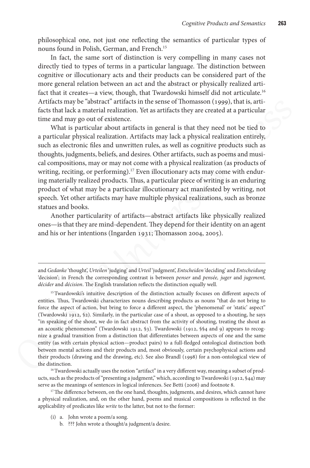philosophical one, not just one reflecting the semantics of particular types of nouns found in Polish, German, and French.<sup>15</sup>

In fact, the same sort of distinction is very compelling in many cases not directly tied to types of terms in a particular language. The distinction between cognitive or illocutionary acts and their products can be considered part of the more general relation between an act and the abstract or physically realized artifact that it creates—a view, though, that Twardowski himself did not articulate.<sup>16</sup> Artifacts may be "abstract" artifacts in the sense of Thomasson (1999), that is, artifacts that lack a material realization. Yet as artifacts they are created at a particular time and may go out of existence.

Artinges may be "abstract" artingests in the sense of Thomasson (1999), that is, arting<br>
facts that lack a matrixid realization. Yet as artifacts they are created at a particular<br>
time and may go out of existence.<br>
What i What is particular about artifacts in general is that they need not be tied to a particular physical realization. Artifacts may lack a physical realization entirely, such as electronic files and unwritten rules, as well as cognitive products such as thoughts, judgments, beliefs, and desires. Other artifacts, such as poems and musical compositions, may or may not come with a physical realization (as products of writing, reciting, or performing).<sup>17</sup> Even illocutionary acts may come with enduring materially realized products. Thus, a particular piece of writing is an enduring product of what may be a particular illocutionary act manifested by writing, not speech. Yet other artifacts may have multiple physical realizations, such as bronze statues and books.

Another particularity of artifacts—abstract artifacts like physically realized ones—is that they are mind-dependent. They depend for their identity on an agent and his or her intentions (Ingarden 1931; Thomasson 2004, 2005).

and *Gedanke* 'thought', *Urteilen* 'judging' and *Urteil* 'judgment', *Entscheiden* 'deciding' and *Entscheidung* 'decision'; in French the corresponding contrast is between *penser* and *pensée, juger* and *jugement, décider* and *décision*. The English translation reflects the distinction equally well.

<sup>15</sup>Twardowski's intuitive description of the distinction actually focuses on different aspects of entities. Thus, Twardowski characterizes nouns describing products as nouns "that do not bring to force the aspect of action, but bring to force a different aspect, the 'phenomenal' or 'static' aspect" (Twardowski 1912, §2). Similarly, in the particular case of a shout, as opposed to a shouting, he says "in speaking of the shout, we do in fact abstract from the activity of shouting, treating the shout as an acoustic phenomenon" (Twardowski 1912, §3). Twardowski (1912, §§4 and 9) appears to recognize a gradual transition from a distinction that differentiates between aspects of one and the same entity (as with certain physical action—product pairs) to a full-fledged ontological distinction both between mental actions and their products and, most obviously, certain psychophysical actions and their products (drawing and the drawing, etc). See also Brandl (1998) for a non-ontological view of the distinction.

<sup>16</sup> Twardowski actually uses the notion "artifact" in a very different way, meaning a subset of products, such as the products of "presenting a judgment," which, according to Twardowski (1912, §44) may serve as the meanings of sentences in logical inferences. See Betti (2006) and footnote 8.

<sup>17</sup>The difference between, on the one hand, thoughts, judgments, and desires, which cannot have a physical realization, and, on the other hand, poems and musical compositions is reflected in the applicability of predicates like *write* to the latter, but not to the former:

- (i) a. John wrote a poem/a song.
	- b. ??? John wrote a thought/a judgment/a desire.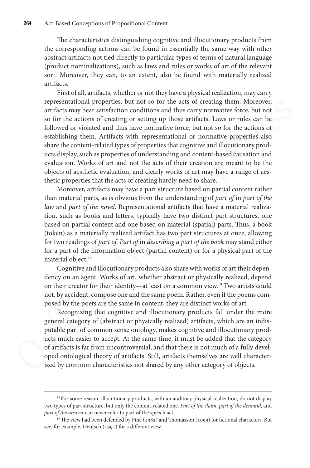The characteristics distinguishing cognitive and illocutionary products from the corresponding actions can be found in essentially the same way with other abstract artifacts not tied directly to particular types of terms of natural language (product nominalizations), such as laws and rules or works of art of the relevant sort. Moreover, they can, to an extent, also be found with materially realized artifacts.

representational properties, but not so for the acts of creating them. Moreover, and thus carry normative force, but not so for the actions of creating or settings preshots of the coloured or violeal conditions and thus t First of all, artifacts, whether or not they have a physical realization, may carry representational properties, but not so for the acts of creating them. Moreover, artifacts may bear satisfaction conditions and thus carry normative force, but not so for the actions of creating or setting up those artifacts. Laws or rules can be followed or violated and thus have normative force, but not so for the actions of establishing them. Artifacts with representational or normative properties also share the content-related types of properties that cognitive and illocutionary products display, such as properties of understanding and content-based causation and evaluation. Works of art and not the acts of their creation are meant to be the objects of aesthetic evaluation, and clearly works of art may have a range of aesthetic properties that the acts of creating hardly need to share.

Moreover, artifacts may have a part structure based on partial content rather than material parts, as is obvious from the understanding of *part of* in *part of the law* and *part of the novel*. Representational artifacts that have a material realization, such as books and letters, typically have two distinct part structures, one based on partial content and one based on material (spatial) parts. Thus, a book (token) as a materially realized artifact has two part structures at once, allowing for two readings of *part of. Part of* in *describing a part of the book* may stand either for a part of the information object (partial content) or for a physical part of the material object.<sup>18</sup>

Cognitive and illocutionary products also share with works of art their dependency on an agent. Works of art, whether abstract or physically realized, depend on their creator for their identity—at least on a common view.19 Two artists could not, by accident, compose one and the same poem. Rather, even if the poems composed by the poets are the same in content, they are distinct works of art.

Recognizing that cognitive and illocutionary products fall under the more general category of (abstract or physically realized) artifacts, which are an indisputable part of common sense ontology, makes cognitive and illocutionary products much easier to accept. At the same time, it must be added that the category of artifacts is far from uncontroversial, and that there is not much of a fully developed ontological theory of artifacts. Still, artifacts themselves are well characterized by common characteristics not shared by any other category of objects.

<sup>&</sup>lt;sup>18</sup> For some reason, illocutionary products, with an auditory physical realization, do not display two types of part structure, but only the content-related one. *Part of the claim, part of the demand*, and *part of the answer* can never refer to part of the speech act.

<sup>&</sup>lt;sup>19</sup>The view had been defended by Fine (1982) and Thomasson (1999) for fictional characters. But see, for example, Deutsch (1991) for a different view.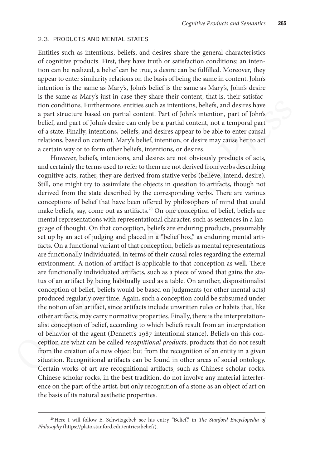#### 2.3. PRODUCTS AND MENTAL STATES

Entities such as intentions, beliefs, and desires share the general characteristics of cognitive products. First, they have truth or satisfaction conditions: an intention can be realized, a belief can be true, a desire can be fulfilled. Moreover, they appear to enter similarity relations on the basis of being the same in content. John's intention is the same as Mary's, John's belief is the same as Mary's, John's desire is the same as Mary's just in case they share their content, that is, their satisfaction conditions. Furthermore, entities such as intentions, beliefs, and desires have a part structure based on partial content. Part of John's intention, part of John's belief, and part of John's desire can only be a partial content, not a temporal part of a state. Finally, intentions, beliefs, and desires appear to be able to enter causal relations, based on content. Mary's belief, intention, or desire may cause her to act a certain way or to form other beliefs, intentions, or desires.

tion conditions. Furthermore, entities such as intentions, beliefs, and desires have a part structure based on partial content. Part of John's belief, and part of John's helief, and part of John's helief, and part of John However, beliefs, intentions, and desires are not obviously products of acts, and certainly the terms used to refer to them are not derived from verbs describing cognitive acts; rather, they are derived from stative verbs (believe, intend, desire). Still, one might try to assimilate the objects in question to artifacts, though not derived from the state described by the corresponding verbs. There are various conceptions of belief that have been offered by philosophers of mind that could make beliefs, say, come out as artifacts.<sup>20</sup> On one conception of belief, beliefs are mental representations with representational character, such as sentences in a language of thought. On that conception, beliefs are enduring products, presumably set up by an act of judging and placed in a "belief box," as enduring mental artifacts. On a functional variant of that conception, beliefs as mental representations are functionally individuated, in terms of their causal roles regarding the external environment. A notion of artifact is applicable to that conception as well. There are functionally individuated artifacts, such as a piece of wood that gains the status of an artifact by being habitually used as a table. On another, dispositionalist conception of belief, beliefs would be based on judgments (or other mental acts) produced regularly over time. Again, such a conception could be subsumed under the notion of an artifact, since artifacts include unwritten rules or habits that, like other artifacts, may carry normative properties. Finally, there is the interpretationalist conception of belief, according to which beliefs result from an interpretation of behavior of the agent (Dennett's 1987 intentional stance). Beliefs on this conception are what can be called *recognitional products*, products that do not result from the creation of a new object but from the recognition of an entity in a given situation. Recognitional artifacts can be found in other areas of social ontology. Certain works of art are recognitional artifacts, such as Chinese scholar rocks. Chinese scholar rocks, in the best tradition, do not involve any material interference on the part of the artist, but only recognition of a stone as an object of art on the basis of its natural aesthetic properties.

<sup>20</sup>Here I will follow E. Schwitzgebel; see his entry "Belief," in *The Stanford Encyclopedia of Philosophy* (https://plato.stanford.edu/entries/belief/).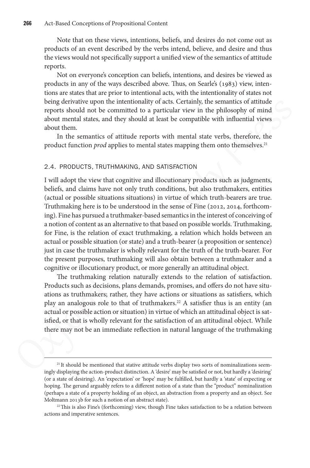Note that on these views, intentions, beliefs, and desires do not come out as products of an event described by the verbs intend, believe, and desire and thus the views would not specifically support a unified view of the semantics of attitude reports.

Not on everyone's conception can beliefs, intentions, and desires be viewed as products in any of the ways described above. Thus, on Searle's (1983) view, intentions are states that are prior to intentional acts, with the intentionality of states not being derivative upon the intentionality of acts. Certainly, the semantics of attitude reports should not be committed to a particular view in the philosophy of mind about mental states, and they should at least be compatible with influential views about them.

In the semantics of attitude reports with mental state verbs, therefore, the product function *prod* applies to mental states mapping them onto themselves.<sup>21</sup>

#### 2.4. PRODUCTS, TRUTHMAKING, AND SATISFACTION

being derivative upon the interliminality of acts. Certainly, the semantics of attitudar<br>reports should not be committed to a particular view in the philosophy of mind<br>about mental states, and they should at least be comp I will adopt the view that cognitive and illocutionary products such as judgments, beliefs, and claims have not only truth conditions, but also truthmakers, entities (actual or possible situations situations) in virtue of which truth-bearers are true. Truthmaking here is to be understood in the sense of Fine (2012, 2014, forthcoming). Fine has pursued a truthmaker-based semantics in the interest of conceiving of a notion of content as an alternative to that based on possible worlds. Truthmaking, for Fine, is the relation of exact truthmaking, a relation which holds between an actual or possible situation (or state) and a truth-bearer (a proposition or sentence) just in case the truthmaker is wholly relevant for the truth of the truth-bearer. For the present purposes, truthmaking will also obtain between a truthmaker and a cognitive or illocutionary product, or more generally an attitudinal object.

The truthmaking relation naturally extends to the relation of satisfaction. Products such as decisions, plans demands, promises, and offers do not have situations as truthmakers; rather, they have actions or situations as satisfiers, which play an analogous role to that of truthmakers.<sup>22</sup> A satisfier thus is an entity (an actual or possible action or situation) in virtue of which an attitudinal object is satisfied, or that is wholly relevant for the satisfaction of an attitudinal object. While there may not be an immediate reflection in natural language of the truthmaking

<sup>&</sup>lt;sup>21</sup> It should be mentioned that stative attitude verbs display two sorts of nominalizations seemingly displaying the action-product distinction. A 'desire' may be satisfied or not, but hardly a 'desiring' (or a state of desiring). An 'expectation' or 'hope' may be fulfilled, but hardly a 'state' of expecting or hoping. The gerund arguably refers to a different notion of a state than the "product" nominalization (perhaps a state of a property holding of an object, an abstraction from a property and an object. See Moltmann 2013b for such a notion of an abstract state).

<sup>&</sup>lt;sup>22</sup>This is also Fine's (forthcoming) view, though Fine takes satisfaction to be a relation between actions and imperative sentences.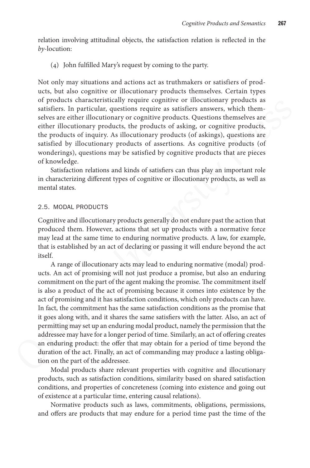relation involving attitudinal objects, the satisfaction relation is reflected in the *by*-locution:

(4) John fulfilled Mary's request by coming to the party.

Not only may situations and actions act as truthmakers or satisfiers of products, but also cognitive or illocutionary products themselves. Certain types of products characteristically require cognitive or illocutionary products as satisfiers. In particular, questions require as satisfiers answers, which themselves are either illocutionary or cognitive products. Questions themselves are either illocutionary products, the products of asking, or cognitive products, the products of inquiry. As illocutionary products (of askings), questions are satisfied by illocutionary products of assertions. As cognitive products (of wonderings), questions may be satisfied by cognitive products that are pieces of knowledge.

Satisfaction relations and kinds of satisfiers can thus play an important role in characterizing different types of cognitive or illocutionary products, as well as mental states.

### 2.5. MODAL PRODUCTS

Cognitive and illocutionary products generally do not endure past the action that produced them. However, actions that set up products with a normative force may lead at the same time to enduring normative products. A law, for example, that is established by an act of declaring or passing it will endure beyond the act itself.

or products cracterstructure requirive or inocurionary products sustisfiers. In particular, questions require as satisfiers answers, which tem-<br>sives are celter illocutionary or cognitive products. Questions thermestevs ar A range of illocutionary acts may lead to enduring normative (modal) products. An act of promising will not just produce a promise, but also an enduring commitment on the part of the agent making the promise. The commitment itself is also a product of the act of promising because it comes into existence by the act of promising and it has satisfaction conditions, which only products can have. In fact, the commitment has the same satisfaction conditions as the promise that it goes along with, and it shares the same satisfiers with the latter. Also, an act of permitting may set up an enduring modal product, namely the permission that the addressee may have for a longer period of time. Similarly, an act of offering creates an enduring product: the offer that may obtain for a period of time beyond the duration of the act. Finally, an act of commanding may produce a lasting obligation on the part of the addressee.

Modal products share relevant properties with cognitive and illocutionary products, such as satisfaction conditions, similarity based on shared satisfaction conditions, and properties of concreteness (coming into existence and going out of existence at a particular time, entering causal relations).

Normative products such as laws, commitments, obligations, permissions, and offers are products that may endure for a period time past the time of the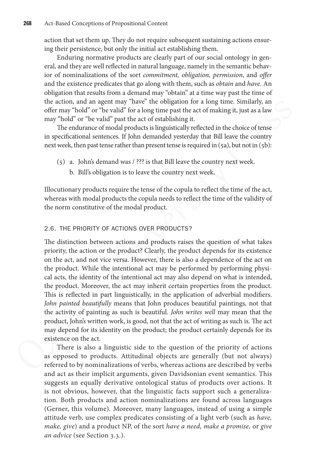action that set them up. They do not require subsequent sustaining actions ensuring their persistence, but only the initial act establishing them.

Enduring normative products are clearly part of our social ontology in general, and they are well reflected in natural language, namely in the semantic behavior of nominalizations of the sort *commitment, obligation, permission*, and *offer* and the existence predicates that go along with them, such as *obtain* and *have*. An obligation that results from a demand may "obtain" at a time way past the time of the action, and an agent may "have" the obligation for a long time. Similarly, an offer may "hold" or "be valid" for a long time past the act of making it, just as a law may "hold" or "be valid" past the act of establishing it.

The endurance of modal products is linguistically reflected in the choice of tense in specificational sentences. If John demanded yesterday that Bill leave the country next week, then past tense rather than present tense is required in (5a), but not in (5b):

- (5) a. John's demand was / ??? is that Bill leave the country next week.
	- b. Bill's obligation is to leave the country next week.

Illocutionary products require the tense of the copula to reflect the time of the act, whereas with modal products the copula needs to reflect the time of the validity of the norm constitutive of the modal product.

### 2.6. THE PRIORITY OF ACTIONS OVER PRODUCTS?

the action, and an agent may thave" the obiligation for a long time. Similarly, and<br>
offer may "hold" or "be valid" for a long time past the act of making it, just as a law<br>
"hold" or "be valid" past the act of establishi The distinction between actions and products raises the question of what takes priority, the action or the product? Clearly, the product depends for its existence on the act, and not vice versa. However, there is also a dependence of the act on the product. While the intentional act may be performed by performing physical acts, the identity of the intentional act may also depend on what is intended, the product. Moreover, the act may inherit certain properties from the product. This is reflected in part linguistically, in the application of adverbial modifiers. *John painted beautifully* means that John produces beautiful paintings, not that the activity of painting as such is beautiful. *John writes well* may mean that the product, John's written work, is good, not that the act of writing as such is. The act may depend for its identity on the product; the product certainly depends for its existence on the act.

There is also a linguistic side to the question of the priority of actions as opposed to products. Attitudinal objects are generally (but not always) referred to by nominalizations of verbs, whereas actions are described by verbs and act as their implicit arguments, given Davidsonian event semantics. This suggests an equally derivative ontological status of products over actions. It is not obvious, however, that the linguistic facts support such a generalization. Both products and action nominalizations are found across languages (Gerner, this volume). Moreover, many languages, instead of using a simple attitude verb, use complex predicates consisting of a light verb (such as *have, make, give*) and a product NP, of the sort *have a need, make a promise,* or *give an advice* (see Section 3.3.).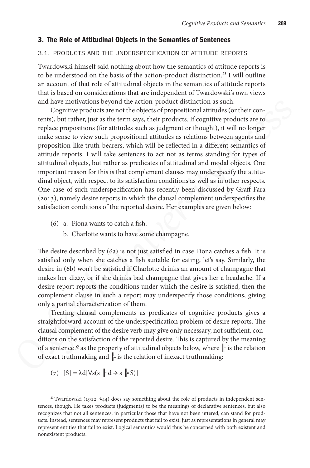# 3. The Role of Attitudinal Objects in the Semantics of Sentences

### 3.1. PRODUCTS AND THE UNDERSPECIFICATION OF ATTITUDE REPORTS

Twardowski himself said nothing about how the semantics of attitude reports is to be understood on the basis of the action-product distinction.<sup>23</sup> I will outline an account of that role of attitudinal objects in the semantics of attitude reports that is based on considerations that are independent of Twardowski's own views and have motivations beyond the action-product distinction as such.

and have mentivations beyond the action-product distinction as used.<br>
Cognitive products are net the objects of propositional attitudes (or their con-<br>
tents), but rather, just as the term says, their products. If cognitiv Cognitive products are not the objects of propositional attitudes (or their contents), but rather, just as the term says, their products. If cognitive products are to replace propositions (for attitudes such as judgment or thought), it will no longer make sense to view such propositional attitudes as relations between agents and proposition-like truth-bearers, which will be reflected in a different semantics of attitude reports. I will take sentences to act not as terms standing for types of attitudinal objects, but rather as predicates of attitudinal and modal objects. One important reason for this is that complement clauses may underspecify the attitudinal object, with respect to its satisfaction conditions as well as in other respects. One case of such underspecification has recently been discussed by Graff Fara (2013), namely desire reports in which the clausal complement underspecifies the satisfaction conditions of the reported desire. Her examples are given below:

- (6) a. Fiona wants to catch a fish.
	- b. Charlotte wants to have some champagne.

The desire described by (6a) is not just satisfied in case Fiona catches a fish. It is satisfied only when she catches a fish suitable for eating, let's say. Similarly, the desire in (6b) won't be satisfied if Charlotte drinks an amount of champagne that makes her dizzy, or if she drinks bad champagne that gives her a headache. If a desire report reports the conditions under which the desire is satisfied, then the complement clause in such a report may underspecify those conditions, giving only a partial characterization of them.

Treating clausal complements as predicates of cognitive products gives a straightforward account of the underspecification problem of desire reports. The clausal complement of the desire verb may give only necessary, not sufficient, conditions on the satisfaction of the reported desire. This is captured by the meaning of a sentence *S* as the property of attitudinal objects below, where  $\|$  is the relation of exact truthmaking and  $\parallel$  is the relation of inexact truthmaking:

$$
(7) [S] = \lambda d[\forall s(s \parallel d \rightarrow s \parallel S)]
$$

<sup>&</sup>lt;sup>23</sup>Twardowski (1912, §44) does say something about the role of products in independent sentences, though. He takes products (judgments) to be the meanings of declarative sentences, but also recognizes that not all sentences, in particular those that have not been uttered, can stand for products. Instead, sentences may represent products that fail to exist, just as representations in general may represent entities that fail to exist. Logical semantics would thus be concerned with both existent and nonexistent products.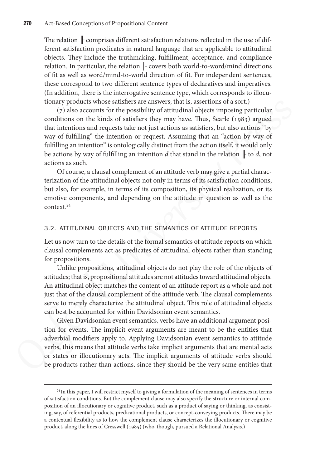The relation  $\mathcal V$  comprises different satisfaction relations reflected in the use of different satisfaction predicates in natural language that are applicable to attitudinal objects. They include the truthmaking, fulfillment, acceptance, and compliance relation. In particular, the relation  $\parallel$  covers both world-to-word/mind directions of fit as well as word/mind-to-world direction of fit. For independent sentences, these correspond to two different sentence types of declaratives and imperatives. (In addition, there is the interrogative sentence type, which corresponds to illocutionary products whose satisfiers are answers; that is, assertions of a sort.)

tionary products whose satisfars are anawers; that is, assertions of a sort.)<br>
(7) also accounts for the possibility of attitudinal objects imposing particular<br>
conditions on the kinds of satisfars they may have. Thus, Se (7) also accounts for the possibility of attitudinal objects imposing particular conditions on the kinds of satisfiers they may have. Thus, Searle (1983) argued that intentions and requests take not just actions as satisfiers, but also actions "by way of fulfilling" the intention or request. Assuming that an "action by way of fulfilling an intention" is ontologically distinct from the action itself, it would only be actions by way of fulfilling an intention *d* that stand in the relation  $\|$  to *d*, not actions as such.

Of course, a clausal complement of an attitude verb may give a partial characterization of the attitudinal objects not only in terms of its satisfaction conditions, but also, for example, in terms of its composition, its physical realization, or its emotive components, and depending on the attitude in question as well as the context.24

### 3.2. ATTITUDINAL OBJECTS AND THE SEMANTICS OF ATTITUDE REPORTS

Let us now turn to the details of the formal semantics of attitude reports on which clausal complements act as predicates of attitudinal objects rather than standing for propositions.

Unlike propositions, attitudinal objects do not play the role of the objects of attitudes; that is, propositional attitudes are not attitudes toward attitudinal objects. An attitudinal object matches the content of an attitude report as a whole and not just that of the clausal complement of the attitude verb. The clausal complements serve to merely characterize the attitudinal object. This role of attitudinal objects can best be accounted for within Davidsonian event semantics.

Given Davidsonian event semantics, verbs have an additional argument position for events. The implicit event arguments are meant to be the entities that adverbial modifiers apply to. Applying Davidsonian event semantics to attitude verbs, this means that attitude verbs take implicit arguments that are mental acts or states or illocutionary acts. The implicit arguments of attitude verbs should be products rather than actions, since they should be the very same entities that

<sup>&</sup>lt;sup>24</sup> In this paper, I will restrict myself to giving a formulation of the meaning of sentences in terms of satisfaction conditions. But the complement clause may also specify the structure or internal composition of an illocutionary or cognitive product, such as a product of saying or thinking, as consisting, say, of referential products, predicational products, or concept-conveying products. There may be a contextual flexibility as to how the complement clause characterizes the illocutionary or cognitive product, along the lines of Cresswell (1985) (who, though, pursued a Relational Analysis.)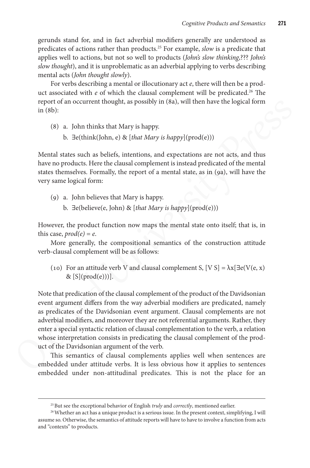gerunds stand for, and in fact adverbial modifiers generally are understood as predicates of actions rather than products.25 For example, *slow* is a predicate that applies well to actions, but not so well to products (*John's slow thinking*,??? *John's slow thought*), and it is unproblematic as an adverbial applying to verbs describing mental acts (*John thought slowly*).

For verbs describing a mental or illocutionary act *e*, there will then be a product associated with *e* of which the clausal complement will be predicated.<sup>26</sup> The report of an occurrent thought, as possibly in (8a), will then have the logical form in (8b):

- (8) a. John thinks that Mary is happy.
	- b. ∃e(think(John, e) & [*that Mary is happy*](prod(e)))

Mental states such as beliefs, intentions, and expectations are not acts, and thus have no products. Here the clausal complement is instead predicated of the mental states themselves. Formally, the report of a mental state, as in (9a), will have the very same logical form:

- (9) a. John believes that Mary is happy.
	- b. ∃e(believe(e, John) & [*that Mary is happy*](prod(e)))

However, the product function now maps the mental state onto itself; that is, in this case,  $prod(e) = e$ .

More generally, the compositional semantics of the construction attitude verb-clausal complement will be as follows:

(10) For an attitude verb V and clausal complement S,  $[V S] = \lambda x [ \exists e(V(e, x))$  $\&$  [S](prod(e)))].

report of an occurrent thought, as possibly in (8a), will then have the logical form<br>
in (8b):<br>
(8) a. John thinks that Mary is happy.<br>
b. 3e(think(John, e) & [*that Mary* is *happy*]( $\text{prod}(de)$ ))<br>
Mental states such as b Note that predication of the clausal complement of the product of the Davidsonian event argument differs from the way adverbial modifiers are predicated, namely as predicates of the Davidsonian event argument. Clausal complements are not adverbial modifiers, and moreover they are not referential arguments. Rather, they enter a special syntactic relation of clausal complementation to the verb, a relation whose interpretation consists in predicating the clausal complement of the product of the Davidsonian argument of the verb.

This semantics of clausal complements applies well when sentences are embedded under attitude verbs. It is less obvious how it applies to sentences embedded under non-attitudinal predicates. This is not the place for an

<sup>25</sup>But see the exceptional behavior of English *truly* and *correctly*, mentioned earlier.

 $26$  Whether an act has a unique product is a serious issue. In the present context, simplifying, I will assume so. Otherwise, the semantics of attitude reports will have to have to involve a function from acts and "contexts" to products.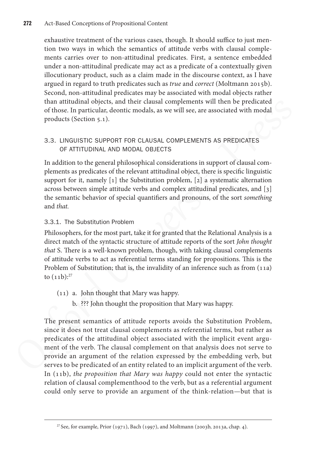### 272 Act-Based Conceptions of Propositional Content

exhaustive treatment of the various cases, though. It should suffice to just mention two ways in which the semantics of attitude verbs with clausal complements carries over to non-attitudinal predicates. First, a sentence embedded under a non-attitudinal predicate may act as a predicate of a contextually given illocutionary product, such as a claim made in the discourse context, as I have argued in regard to truth predicates such as *true* and *correct* (Moltmann 2015b). Second, non-attitudinal predicates may be associated with modal objects rather than attitudinal objects, and their clausal complements will then be predicated of those. In particular, deontic modals, as we will see, are associated with modal products (Section 5.1).

# 3.3. LINGUISTIC SUPPORT FOR CLAUSAL COMPLEMENTS AS PREDICATES OF ATTITUDINAL AND MODAL OBJECTS

In addition to the general philosophical considerations in support of clausal complements as predicates of the relevant attitudinal object, there is specific linguistic support for it, namely [1] the Substitution problem, [2] a systematic alternation across between simple attitude verbs and complex attitudinal predicates, and [3] the semantic behavior of special quantifiers and pronouns, of the sort *something* and *that.*

# 3.3.1. The Substitution Problem

Philosophers, for the most part, take it for granted that the Relational Analysis is a direct match of the syntactic structure of attitude reports of the sort *John thought that* S. There is a well-known problem, though, with taking clausal complements of attitude verbs to act as referential terms standing for propositions. This is the Problem of Substitution; that is, the invalidity of an inference such as from (11a) to  $(11b)$ :<sup>27</sup>

- (11) a. John thought that Mary was happy.
	- b. ??? John thought the proposition that Mary was happy.

than attitudienal objects, and their clausal complements will then be predicated<br>of those. In particular, dentite modals, as we will see, are associated with modal<br>products (Section 5.1).<br>
3.3. LINGUISTIC SUPPORT FOR CLAU The present semantics of attitude reports avoids the Substitution Problem, since it does not treat clausal complements as referential terms, but rather as predicates of the attitudinal object associated with the implicit event argument of the verb. The clausal complement on that analysis does not serve to provide an argument of the relation expressed by the embedding verb, but serves to be predicated of an entity related to an implicit argument of the verb. In (11b), *the proposition that Mary was happy* could not enter the syntactic relation of clausal complementhood to the verb, but as a referential argument could only serve to provide an argument of the think-relation—but that is

<sup>&</sup>lt;sup>27</sup> See, for example, Prior (1971), Bach (1997), and Moltmann (2003b, 2013a, chap. 4).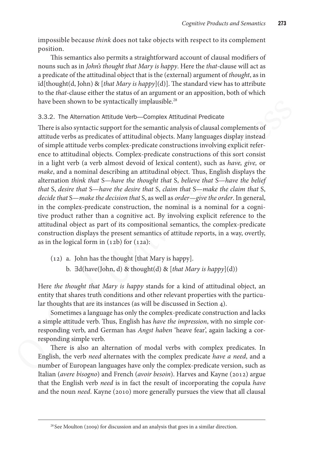impossible because *think* does not take objects with respect to its complement position.

This semantics also permits a straightforward account of clausal modifiers of nouns such as in *John's thought that Mary is happy*. Here the *that-*clause will act as a predicate of the attitudinal object that is the (external) argument of *thought*, as in їd[thought(d, John) & [*that Mary is happy*](d)]. The standard view has to attribute to the *that*-clause either the status of an argument or an apposition, both of which have been shown to be syntactically implausible.<sup>28</sup>

# 3.3.2. The Alternation Attitude Verb—Complex Attitudinal Predicate

have been shown to be syntactically implausible.<sup>28</sup><br>
3.3.2. The Memation Attitudinal Predicate<br>
There is also syntactic support for the semantic analysis of clausal complements of<br>
There is also syntactic support for the There is also syntactic support for the semantic analysis of clausal complements of attitude verbs as predicates of attitudinal objects. Many languages display instead of simple attitude verbs complex-predicate constructions involving explicit reference to attitudinal objects. Complex-predicate constructions of this sort consist in a light verb (a verb almost devoid of lexical content), such as *have, give,* or *make*, and a nominal describing an attitudinal object. Thus, English displays the alternation *think that* S—*have the thought that* S, *believe that* S—*have the belief that* S, *desire that* S—*have the desire that* S, *claim that* S—*make the claim that* S, *decide that* S—*make the decision that* S, as well as *order*—*give the order*. In general, in the complex-predicate construction, the nominal is a nominal for a cognitive product rather than a cognitive act. By involving explicit reference to the attitudinal object as part of its compositional semantics, the complex-predicate construction displays the present semantics of attitude reports, in a way, overtly, as in the logical form in (12b) for (12a):

- (12) a. John has the thought [that Mary is happy].
	- b. ∃d(have(John, d) & thought(d) & [*that Mary is happy*](d))

Here *the thought that Mary is happy* stands for a kind of attitudinal object, an entity that shares truth conditions and other relevant properties with the particular thoughts that are its instances (as will be discussed in Section 4).

Sometimes a language has only the complex-predicate construction and lacks a simple attitude verb. Thus, English has *have the impression*, with no simple corresponding verb, and German has *Angst haben* 'heave fear', again lacking a corresponding simple verb.

There is also an alternation of modal verbs with complex predicates. In English, the verb *need* alternates with the complex predicate *have a need*, and a number of European languages have only the complex-predicate version, such as Italian (*avere bisogno*) and French (*avoir besoin*). Harves and Kayne (2012) argue that the English verb *need* is in fact the result of incorporating the copula *have* and the noun *need*. Kayne (2010) more generally pursues the view that all clausal

<sup>&</sup>lt;sup>28</sup> See Moulton (2009) for discussion and an analysis that goes in a similar direction.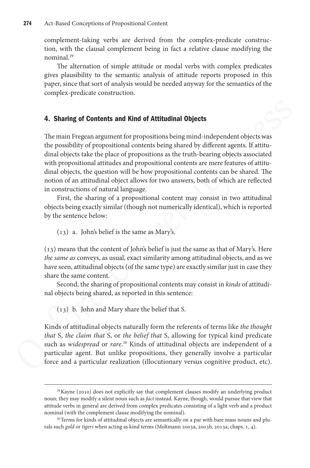complement-taking verbs are derived from the complex-predicate construction, with the clausal complement being in fact a relative clause modifying the nominal.29

The alternation of simple attitude or modal verbs with complex predicates gives plausibility to the semantic analysis of attitude reports proposed in this paper, since that sort of analysis would be needed anyway for the semantics of the complex-predicate construction.

# 4. Sharing of Contents and Kind of Attitudinal Objects

**4. Sharing of Contents and Kind of Attitudinal Objects**<br>The main Fregean argument for propositions being mind-independent objects was<br>the positions of the place of propositions as the truth-bearing objects associated<br>wit The main Fregean argument for propositions being mind-independent objects was the possibility of propositional contents being shared by different agents. If attitudinal objects take the place of propositions as the truth-bearing objects associated with propositional attitudes and propositional contents are mere features of attitudinal objects, the question will be how propositional contents can be shared. The notion of an attitudinal object allows for two answers, both of which are reflected in constructions of natural language.

First, the sharing of a propositional content may consist in two attitudinal objects being exactly similar (though not numerically identical), which is reported by the sentence below:

(13) a. John's belief is the same as Mary's.

(13) means that the content of John's belief is just the same as that of Mary's. Here *the same as* conveys, as usual, exact similarity among attitudinal objects, and as we have seen, attitudinal objects (of the same type) are exactly similar just in case they share the same content.

Second, the sharing of propositional contents may consist in *kinds* of attitudinal objects being shared, as reported in this sentence:

(13) b. John and Mary share the belief that S.

Kinds of attitudinal objects naturally form the referents of terms like *the thought that* S, *the claim that* S, or *the belief that* S, allowing for typical kind predicate such as *widespread* or *rare*. 30 Kinds of attitudinal objects are independent of a particular agent. But unlike propositions, they generally involve a particular force and a particular realization (illocutionary versus cognitive product, etc).

<sup>&</sup>lt;sup>29</sup> Kayne (2010) does not explicitly say that complement clauses modify an underlying product noun; they may modify a silent noun such as *fact* instead. Kayne, though, would pursue that view that attitude verbs in general are derived from complex predicates consisting of a light verb and a product nominal (with the complement clause modifying the nominal).

<sup>&</sup>lt;sup>30</sup> Terms for kinds of attitudinal objects are semantically on a par with bare mass nouns and plurals such *gold* or *tigers* when acting as kind terms (Moltmann 2003a, 2003b, 2013a, chaps. 1, 4).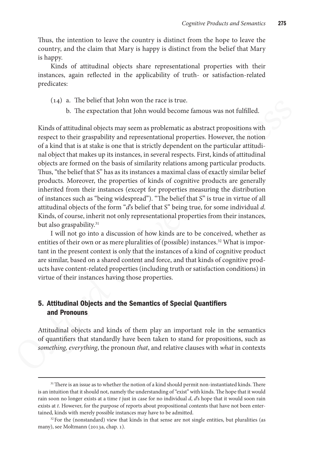Thus, the intention to leave the country is distinct from the hope to leave the country, and the claim that Mary is happy is distinct from the belief that Mary is happy.

Kinds of attitudinal objects share representational properties with their instances, again reflected in the applicability of truth- or satisfaction-related predicates:

(14) a. The belief that John won the race is true.

b. The expectation that John would become famous was not fulfilled.

(14) the pieter that plom won the race is true.<br>
The sense true, the served transform with the served transform at Kinds of attitudinal objects may seem as problematic as abstract propositions with respect to their graspa Kinds of attitudinal objects may seem as problematic as abstract propositions with respect to their graspability and representational properties. However, the notion of a kind that is at stake is one that is strictly dependent on the particular attitudinal object that makes up its instances, in several respects. First, kinds of attitudinal objects are formed on the basis of similarity relations among particular products. Thus, "the belief that S" has as its instances a maximal class of exactly similar belief products. Moreover, the properties of kinds of cognitive products are generally inherited from their instances (except for properties measuring the distribution of instances such as "being widespread"). "The belief that S" is true in virtue of all attitudinal objects of the form "*d*'s belief that S" being true, for some individual *d*. Kinds, of course, inherit not only representational properties from their instances, but also graspability.<sup>31</sup>

I will not go into a discussion of how kinds are to be conceived, whether as entities of their own or as mere pluralities of (possible) instances.<sup>32</sup> What is important in the present context is only that the instances of a kind of cognitive product are similar, based on a shared content and force, and that kinds of cognitive products have content-related properties (including truth or satisfaction conditions) in virtue of their instances having those properties.

# 5. Attitudinal Objects and the Semantics of Special Quantifiers and Pronouns

Attitudinal objects and kinds of them play an important role in the semantics of quantifiers that standardly have been taken to stand for propositions, such as *something, everything*, the pronoun *that*, and relative clauses with *what* in contexts

<sup>&</sup>lt;sup>31</sup> There is an issue as to whether the notion of a kind should permit non-instantiated kinds. There is an intuition that it should not, namely the understanding of "exist" with kinds. The hope that it would rain soon no longer exists at a time *t* just in case for no individual *d*, *d*'s hope that it would soon rain exists at *t*. However, for the purpose of reports about propositional contents that have not been entertained, kinds with merely possible instances may have to be admitted.

<sup>&</sup>lt;sup>32</sup> For the (nonstandard) view that kinds in that sense are not single entities, but pluralities (as many), see Moltmann (2013a, chap. 1).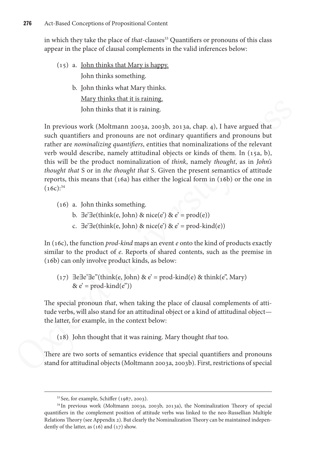in which they take the place of *that*-clauses<sup>33</sup> Quantifiers or pronouns of this class appear in the place of clausal complements in the valid inferences below:

- (15) a. John thinks that Mary is happy. John thinks something.
	- b. John thinks what Mary thinks. Mary thinks that it is raining. John thinks that it is raining.

From the state in the state of the state of the state of the state of the state of the state of the state of equations of the state of quantifers and pronouns are not ordinary quantifers and pronouns but rather are nowing In previous work (Moltmann 2003a, 2003b, 2013a, chap. 4), I have argued that such quantifiers and pronouns are not ordinary quantifiers and pronouns but rather are *nominalizing quantifiers*, entities that nominalizations of the relevant verb would describe, namely attitudinal objects or kinds of them. In (15a, b), this will be the product nominalization of *think*, namely *thought*, as in *John's thought that* S or in *the thought that* S. Given the present semantics of attitude reports, this means that (16a) has either the logical form in (16b) or the one in  $(16c):^{34}$ 

- (16) a. John thinks something.
	- b. ∃e'∃e(think(e, John) & nice(e') & e' = prod(e))
	- c.  $∃e'∃e(think(e, John) &nice(e') & e' = prod-kind(e))$

In (16c), the function *prod-kind* maps an event *e* onto the kind of products exactly similar to the product of *e*. Reports of shared contents, such as the premise in (16b) can only involve product kinds, as below:

(17) ∃e∃e'∃e''(think(e, John) & e' = prod-kind(e) & think(e'', Mary)  $\&$  e' = prod-kind(e''))

The special pronoun *that*, when taking the place of clausal complements of attitude verbs, will also stand for an attitudinal object or a kind of attitudinal object the latter, for example, in the context below:

(18) John thought that it was raining. Mary thought *that* too.

There are two sorts of semantics evidence that special quantifiers and pronouns stand for attitudinal objects (Moltmann 2003a, 2003b). First, restrictions of special

<sup>33</sup> See, for example, Schiffer (1987, 2003).

<sup>34</sup> In previous work (Moltmann 2003a, 2003b, 2013a), the Nominalization Theory of special quantifiers in the complement position of attitude verbs was linked to the neo-Russellian Multiple Relations Theory (see Appendix 2). But clearly the Nominalization Theory can be maintained independently of the latter, as (16) and (17) show.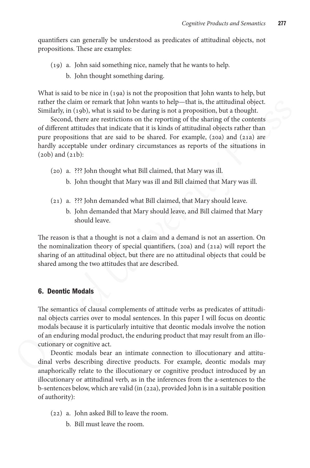quantifiers can generally be understood as predicates of attitudinal objects, not propositions. These are examples:

- (19) a. John said something nice, namely that he wants to help.
	- b. John thought something daring.

What is said to be nice in (19a) is not the proposition that John wants to help, but rather the claim or remark that John wants to help—that is, the attitudinal object. Similarly, in (19b), what is said to be daring is not a proposition, but a thought.

rather the claim or remark that John wants to help—-that is, the attitudinal object.<br>
Similarly, in (19b), what is said to be daring is not a proposition, but a thought.<br>
Second, there are restrictions on the reporting of Second, there are restrictions on the reporting of the sharing of the contents of different attitudes that indicate that it is kinds of attitudinal objects rather than pure propositions that are said to be shared. For example, (20a) and (21a) are hardly acceptable under ordinary circumstances as reports of the situations in  $(20b)$  and  $(21b)$ :

- (20) a. ??? John thought what Bill claimed, that Mary was ill.
	- b. John thought that Mary was ill and Bill claimed that Mary was ill.
- (21) a. ??? John demanded what Bill claimed, that Mary should leave.
	- b. John demanded that Mary should leave, and Bill claimed that Mary should leave.

The reason is that a thought is not a claim and a demand is not an assertion. On the nominalization theory of special quantifiers, (20a) and (21a) will report the sharing of an attitudinal object, but there are no attitudinal objects that could be shared among the two attitudes that are described.

# 6. Deontic Modals

The semantics of clausal complements of attitude verbs as predicates of attitudinal objects carries over to modal sentences. In this paper I will focus on deontic modals because it is particularly intuitive that deontic modals involve the notion of an enduring modal product, the enduring product that may result from an illocutionary or cognitive act.

Deontic modals bear an intimate connection to illocutionary and attitudinal verbs describing directive products. For example, deontic modals may anaphorically relate to the illocutionary or cognitive product introduced by an illocutionary or attitudinal verb, as in the inferences from the a-sentences to the b-sentences below, which are valid (in (22a), provided John is in a suitable position of authority):

- (22) a. John asked Bill to leave the room.
	- b. Bill must leave the room.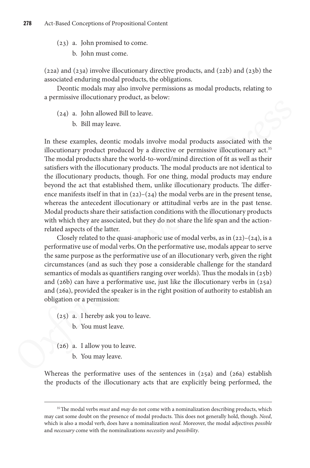(23) a. John promised to come.

b. John must come.

(22a) and (23a) involve illocutionary directive products, and (22b) and (23b) the associated enduring modal products, the obligations.

Deontic modals may also involve permissions as modal products, relating to a permissive illocutionary product, as below:

- (24) a. John allowed Bill to leave.
	- b. Bill may leave.

(24) a. John allowed Bill to leave.<br>
b. Bill may leave.<br>
b. Bill may leave.<br>
b. Bill may leave.<br>
b. Bill may leave.<br>
The those examples, deontic modals involve modal products associated with the illocutionary perduct podu In these examples, deontic modals involve modal products associated with the illocutionary product produced by a directive or permissive illocutionary act.<sup>35</sup> The modal products share the world-to-word/mind direction of fit as well as their satisfiers with the illocutionary products. The modal products are not identical to the illocutionary products, though. For one thing, modal products may endure beyond the act that established them, unlike illocutionary products. The difference manifests itself in that in  $(22)-(24)$  the modal verbs are in the present tense, whereas the antecedent illocutionary or attitudinal verbs are in the past tense. Modal products share their satisfaction conditions with the illocutionary products with which they are associated, but they do not share the life span and the actionrelated aspects of the latter.

Closely related to the quasi-anaphoric use of modal verbs, as in  $(22)-(24)$ , is a performative use of modal verbs. On the performative use, modals appear to serve the same purpose as the performative use of an illocutionary verb, given the right circumstances (and as such they pose a considerable challenge for the standard semantics of modals as quantifiers ranging over worlds). Thus the modals in (25b) and  $(26b)$  can have a performative use, just like the illocutionary verbs in  $(25a)$ and (26a), provided the speaker is in the right position of authority to establish an obligation or a permission:

- (25) a. I hereby ask you to leave.
	- b. You must leave.
- (26) a. I allow you to leave.
	- b. You may leave.

Whereas the performative uses of the sentences in  $(25a)$  and  $(26a)$  establish the products of the illocutionary acts that are explicitly being performed, the

<sup>&</sup>lt;sup>35</sup>The modal verbs *must* and *may* do not come with a nominalization describing products, which may cast some doubt on the presence of modal products. This does not generally hold, though. *Need*, which is also a modal verb, does have a nominalization *need.* Moreover, the modal adjectives *possible* and *necessary* come with the nominalizations *necessity* and *possibility*.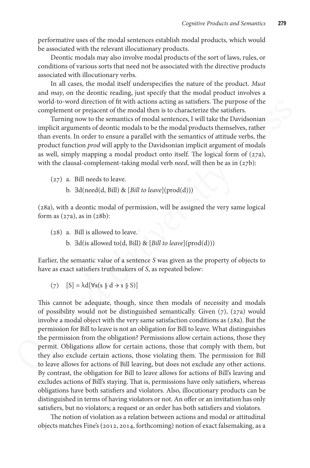performative uses of the modal sentences establish modal products, which would be associated with the relevant illocutionary products.

Deontic modals may also involve modal products of the sort of laws, rules, or conditions of various sorts that need not be associated with the directive products associated with illocutionary verbs.

In all cases, the modal itself underspecifies the nature of the product. *Must* and *may*, on the deontic reading, just specify that the modal product involves a world-to-word direction of fit with actions acting as satisfiers. The purpose of the complement or prejacent of the modal then is to characterize the satisfiers.

Turning now to the semantics of modal sentences, I will take the Davidsonian implicit arguments of deontic modals to be the modal products themselves, rather than events. In order to ensure a parallel with the semantics of attitude verbs, the product function *prod* will apply to the Davidsonian implicit argument of modals as well, simply mapping a modal product onto itself. The logical form of (27a), with the clausal-complement-taking modal verb *need*, will then be as in (27b):

(27) a. Bill needs to leave.

b. ∃d(need(d, Bill) & [*Bill to leave*](prod(d)))

(28a), with a deontic modal of permission, will be assigned the very same logical form as  $(27a)$ , as in  $(28b)$ :

- (28) a. Bill is allowed to leave.
	- b. ∃d(is allowed to(d, Bill) & [*Bill to leave*](prod(d)))

Earlier, the semantic value of a sentence *S* was given as the property of objects to have as exact satisfiers truthmakers of *S*, as repeated below:

$$
(7) \quad [S] = \lambda d[\forall s(s \parallel d \rightarrow s \parallel S)]
$$

world. To word direction of the vith actions acting as satisfars. The purpose of the<br>complement or prejacent of the modal then is to characterize the satisfers.<br>
Thruing now to the semantics of modal sentences, ivell take This cannot be adequate, though, since then modals of necessity and modals of possibility would not be distinguished semantically. Given (7), (27a) would involve a modal object with the very same satisfaction conditions as (28a). But the permission for Bill to leave is not an obligation for Bill to leave. What distinguishes the permission from the obligation? Permissions allow certain actions, those they permit. Obligations allow for certain actions, those that comply with them, but they also exclude certain actions, those violating them. The permission for Bill to leave allows for actions of Bill leaving, but does not exclude any other actions. By contrast, the obligation for Bill to leave allows for actions of Bill's leaving and excludes actions of Bill's staying. That is, permissions have only satisfiers, whereas obligations have both satisfiers and violators. Also, illocutionary products can be distinguished in terms of having violators or not. An offer or an invitation has only satisfiers, but no violators; a request or an order has both satisfiers and violators.

The notion of violation as a relation between actions and modal or attitudinal objects matches Fine's (2012, 2014, forthcoming) notion of exact falsemaking, as a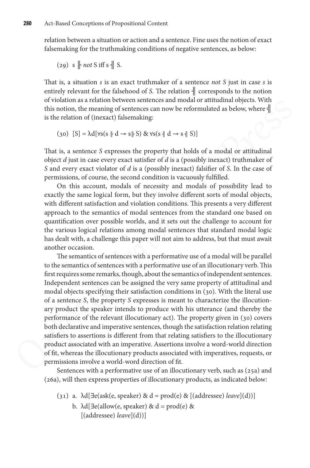relation between a situation or action and a sentence. Fine uses the notion of exact falsemaking for the truthmaking conditions of negative sentences, as below:

 $(29)$  s  $\parallel$  *not* S iff s  $\parallel$  S.

That is, a situation *s* is an exact truthmaker of a sentence *not S* just in case *s* is entirely relevant for the falsehood of *S*. The relation  $\parallel$  corresponds to the notion of violation as a relation between sentences and modal or attitudinal objects. With this notion, the meaning of sentences can now be reformulated as below, where  $\frac{1}{2}$ is the relation of (inexact) falsemaking:

$$
(30) [S] = \lambda d[\forall s(s \parallel d \rightarrow s \parallel S) \& \forall s(s \parallel d \rightarrow s \parallel S)]
$$

That is, a sentence *S* expresses the property that holds of a modal or attitudinal object *d* just in case every exact satisfier of *d* is a (possibly inexact) truthmaker of *S* and every exact violator of *d* is a (possibly inexact) falsifier of *S*. In the case of permissions, of course, the second condition is vacuously fulfilled.

On this account, modals of necessity and modals of possibility lead to exactly the same logical form, but they involve different sorts of modal objects, with different satisfaction and violation conditions. This presents a very different approach to the semantics of modal sentences from the standard one based on quantification over possible worlds, and it sets out the challenge to account for the various logical relations among modal sentences that standard modal logic has dealt with, a challenge this paper will not aim to address, but that must await another occasion.

or votation as reaturon enevera sentences and monal or attutuntan of pectrical states. With the relation of (inexact) falsemaking:<br>
(30) [S] =  $\lambda d$  [vs6  $\mu$  d  $\rightarrow$  s  $\mu$  S vs6  $\pm$  d  $\rightarrow$  s  $\pm$  S)]<br>
That is, a sentenc The semantics of sentences with a performative use of a modal will be parallel to the semantics of sentences with a performative use of an illocutionary verb. This first requires some remarks, though, about the semantics of independent sentences. Independent sentences can be assigned the very same property of attitudinal and modal objects specifying their satisfaction conditions in (30). With the literal use of a sentence *S*, the property *S* expresses is meant to characterize the illocutionary product the speaker intends to produce with his utterance (and thereby the performance of the relevant illocutionary act). The property given in (30) covers both declarative and imperative sentences, though the satisfaction relation relating satisfiers to assertions is different from that relating satisfiers to the illocutionary product associated with an imperative. Assertions involve a word-world direction of fit, whereas the illocutionary products associated with imperatives, requests, or permissions involve a world-word direction of fit.

Sentences with a performative use of an illocutionary verb, such as (25a) and (26a), will then express properties of illocutionary products, as indicated below:

- (31) a. λd[∃e(ask(e, speaker) & d = prod(e) & [(addressee) *leave*](d))]
	- b.  $\lambda d$ [ $\exists$ e(allow(e, speaker) &  $d = \text{prod}(e)$  & [(addressee) *leave*](d))]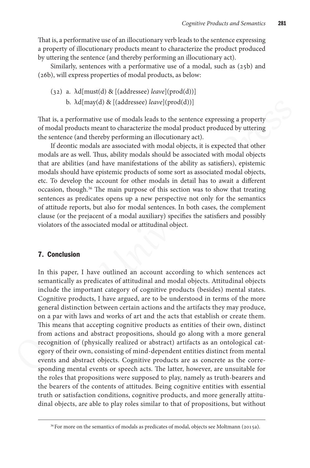That is, a performative use of an illocutionary verb leads to the sentence expressing a property of illocutionary products meant to characterize the product produced by uttering the sentence (and thereby performing an illocutionary act).

Similarly, sentences with a performative use of a modal, such as (25b) and (26b), will express properties of modal products, as below:

(32) a. λd[must(d) & [(addressee) *leave*](prod(d))] b. λd[may(d) & [(addressee) *leave*](prod(d))]

That is, a performative use of modals leads to the sentence expressing a property of modal products meant to characterize the modal product produced by uttering the sentence (and thereby performing an illocutionary act).

If deontic modals are associated with modal objects, it is expected that other modals are as well. Thus, ability modals should be associated with modal objects that are abilities (and have manifestations of the ability as satisfiers), epistemic modals should have epistemic products of some sort as associated modal objects, etc. To develop the account for other modals in detail has to await a different occasion, though.36 The main purpose of this section was to show that treating sentences as predicates opens up a new perspective not only for the semantics of attitude reports, but also for modal sentences. In both cases, the complement clause (or the prejacent of a modal auxiliary) specifies the satisfiers and possibly violators of the associated modal or attitudinal object.

# 7. Conclusion

b.  $\lambda$ d|may(d) & [(addressee) *leave*](prod(d))]<br>That is, a performative use of modals leads to the sentence expressing a property<br>of modal products meant to characterize the modal product produced by utering<br>the sentenc In this paper, I have outlined an account according to which sentences act semantically as predicates of attitudinal and modal objects. Attitudinal objects include the important category of cognitive products (besides) mental states. Cognitive products, I have argued, are to be understood in terms of the more general distinction between certain actions and the artifacts they may produce, on a par with laws and works of art and the acts that establish or create them. This means that accepting cognitive products as entities of their own, distinct from actions and abstract propositions, should go along with a more general recognition of (physically realized or abstract) artifacts as an ontological category of their own, consisting of mind-dependent entities distinct from mental events and abstract objects. Cognitive products are as concrete as the corresponding mental events or speech acts. The latter, however, are unsuitable for the roles that propositions were supposed to play, namely as truth-bearers and the bearers of the contents of attitudes. Being cognitive entities with essential truth or satisfaction conditions, cognitive products, and more generally attitudinal objects, are able to play roles similar to that of propositions, but without

<sup>&</sup>lt;sup>36</sup> For more on the semantics of modals as predicates of modal, objects see Moltmann (2015a).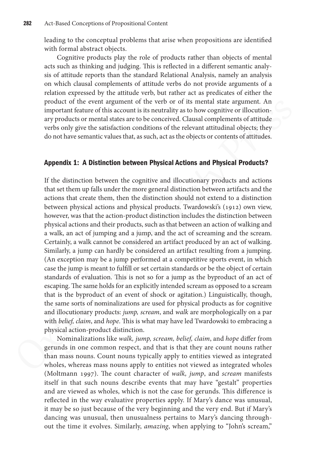leading to the conceptual problems that arise when propositions are identified with formal abstract objects.

Cognitive products play the role of products rather than objects of mental acts such as thinking and judging. This is reflected in a different semantic analysis of attitude reports than the standard Relational Analysis, namely an analysis on which clausal complements of attitude verbs do not provide arguments of a relation expressed by the attitude verb, but rather act as predicates of either the product of the event argument of the verb or of its mental state argument. An important feature of this account is its neutrality as to how cognitive or illocutionary products or mental states are to be conceived. Clausal complements of attitude verbs only give the satisfaction conditions of the relevant attitudinal objects; they do not have semantic values that, as such, act as the objects or contents of attitudes.

### Appendix 1: A Distinction between Physical Actions and Physical Products?

product of the event argument of the velob or of is mental state argument. An unique important feature of this account is its neutrality as to how cognitive or illocution<br>ary products or mental states are to be concerived If the distinction between the cognitive and illocutionary products and actions that set them up falls under the more general distinction between artifacts and the actions that create them, then the distinction should not extend to a distinction between physical actions and physical products. Twardowski's (1912) own view, however, was that the action-product distinction includes the distinction between physical actions and their products, such as that between an action of walking and a walk, an act of jumping and a jump, and the act of screaming and the scream. Certainly, a walk cannot be considered an artifact produced by an act of walking. Similarly, a jump can hardly be considered an artifact resulting from a jumping. (An exception may be a jump performed at a competitive sports event, in which case the jump is meant to fulfill or set certain standards or be the object of certain standards of evaluation. This is not so for a jump as the byproduct of an act of escaping. The same holds for an explicitly intended scream as opposed to a scream that is the byproduct of an event of shock or agitation.) Linguistically, though, the same sorts of nominalizations are used for physical products as for cognitive and illocutionary products: *jump, scream*, and *walk* are morphologically on a par with *belief, claim*, and *hope*. This is what may have led Twardowski to embracing a physical action-product distinction.

Nominalizations like *walk, jump, scream, belief, claim*, and *hope* differ from gerunds in one common respect, and that is that they are count nouns rather than mass nouns. Count nouns typically apply to entities viewed as integrated wholes, whereas mass nouns apply to entities not viewed as integrated wholes (Moltmann 1997). The count character of *walk, jump*, and *scream* manifests itself in that such nouns describe events that may have "gestalt" properties and are viewed as wholes, which is not the case for gerunds. This difference is reflected in the way evaluative properties apply. If Mary's dance was unusual, it may be so just because of the very beginning and the very end. But if Mary's dancing was unusual, then unusualness pertains to Mary's dancing throughout the time it evolves. Similarly, *amazing*, when applying to "John's scream,"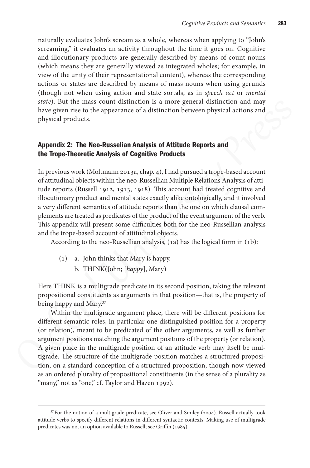naturally evaluates John's scream as a whole, whereas when applying to "John's screaming," it evaluates an activity throughout the time it goes on. Cognitive and illocutionary products are generally described by means of count nouns (which means they are generally viewed as integrated wholes; for example, in view of the unity of their representational content), whereas the corresponding actions or states are described by means of mass nouns when using gerunds (though not when using action and state sortals, as in *speech act* or *mental state*). But the mass-count distinction is a more general distinction and may have given rise to the appearance of a distinction between physical actions and physical products.

# Appendix 2: The Neo-Russelian Analysis of Attitude Reports and the Trope-Theoretic Analysis of Cognitive Products

state). But the mass-connt distinction is a more general distinction and may<br>have given rise to the appearance of a distinction between physical actions and<br>physical products.<br>**Appendix 2: The Neo-Russelian Analysis of Att** In previous work (Moltmann 2013a, chap. 4), I had pursued a trope-based account of attitudinal objects within the neo-Russellian Multiple Relations Analysis of attitude reports (Russell 1912, 1913, 1918). This account had treated cognitive and illocutionary product and mental states exactly alike ontologically, and it involved a very different semantics of attitude reports than the one on which clausal complements are treated as predicates of the product of the event argument of the verb. This appendix will present some difficulties both for the neo-Russellian analysis and the trope-based account of attitudinal objects.

According to the neo-Russellian analysis, (1a) has the logical form in (1b):

- (1) a. John thinks that Mary is happy.
	- b. THINK(John; [*happy*], Mary)

Here THINK is a multigrade predicate in its second position, taking the relevant propositional constituents as arguments in that position—that is, the property of being happy and Mary.<sup>37</sup>

Within the multigrade argument place, there will be different positions for different semantic roles, in particular one distinguished position for a property (or relation), meant to be predicated of the other arguments, as well as further argument positions matching the argument positions of the property (or relation). A given place in the multigrade position of an attitude verb may itself be multigrade. The structure of the multigrade position matches a structured proposition, on a standard conception of a structured proposition, though now viewed as an ordered plurality of propositional constituents (in the sense of a plurality as "many," not as "one," cf. Taylor and Hazen 1992).

<sup>&</sup>lt;sup>37</sup> For the notion of a multigrade predicate, see Oliver and Smiley (2004). Russell actually took attitude verbs to specify different relations in different syntactic contexts. Making use of multigrade predicates was not an option available to Russell; see Griffin (1985).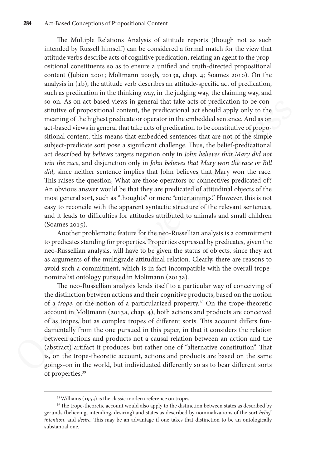so on. As on act-based views in general that take acts of predication to be con-<br>stitutive of propositional content, the predicational act should apply only to the<br>meaning of the highest predicate or operator in the embed The Multiple Relations Analysis of attitude reports (though not as such intended by Russell himself) can be considered a formal match for the view that attitude verbs describe acts of cognitive predication, relating an agent to the propositional constituents so as to ensure a unified and truth-directed propositional content (Jubien 2001; Moltmann 2003b, 2013a, chap. 4; Soames 2010). On the analysis in (1b), the attitude verb describes an attitude-specific act of predication, such as predication in the thinking way, in the judging way, the claiming way, and so on. As on act-based views in general that take acts of predication to be constitutive of propositional content, the predicational act should apply only to the meaning of the highest predicate or operator in the embedded sentence. And as on act-based views in general that take acts of predication to be constitutive of propositional content, this means that embedded sentences that are not of the simple subject-predicate sort pose a significant challenge. Thus, the belief-predicational act described by *believes* targets negation only in *John believes that Mary did not win the race*, and disjunction only in *John believes that Mary won the race or Bill did*, since neither sentence implies that John believes that Mary won the race. This raises the question, What are those operators or connectives predicated of? An obvious answer would be that they are predicated of attitudinal objects of the most general sort, such as "thoughts" or mere "entertainings." However, this is not easy to reconcile with the apparent syntactic structure of the relevant sentences, and it leads to difficulties for attitudes attributed to animals and small children (Soames 2015).

Another problematic feature for the neo-Russellian analysis is a commitment to predicates standing for properties. Properties expressed by predicates, given the neo-Russellian analysis, will have to be given the status of objects, since they act as arguments of the multigrade attitudinal relation. Clearly, there are reasons to avoid such a commitment, which is in fact incompatible with the overall tropenominalist ontology pursued in Moltmann (2013a).

The neo-Russellian analysis lends itself to a particular way of conceiving of the distinction between actions and their cognitive products, based on the notion of a *trope*, or the notion of a particularized property.38 On the trope-theoretic account in Moltmann (2013a, chap. 4), both actions and products are conceived of as tropes, but as complex tropes of different sorts. This account differs fundamentally from the one pursued in this paper, in that it considers the relation between actions and products not a causal relation between an action and the (abstract) artifact it produces, but rather one of "alternative constitution". That is, on the trope-theoretic account, actions and products are based on the same goings-on in the world, but individuated differently so as to bear different sorts of properties.<sup>39</sup>

<sup>&</sup>lt;sup>38</sup> Williams (1953) is the classic modern reference on tropes.

<sup>&</sup>lt;sup>39</sup>The trope-theoretic account would also apply to the distinction between states as described by gerunds (believing, intending, desiring) and states as described by nominalizations of the sort *belief, intention*, and *desire*. This may be an advantage if one takes that distinction to be an ontologically substantial one.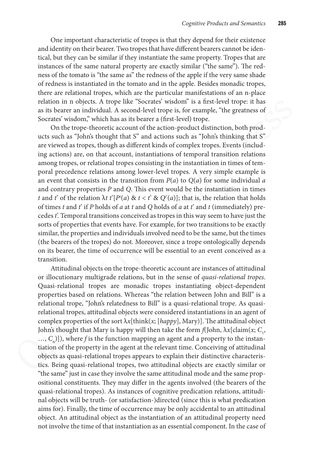One important characteristic of tropes is that they depend for their existence and identity on their bearer. Two tropes that have different bearers cannot be identical, but they can be similar if they instantiate the same property. Tropes that are instances of the same natural property are exactly similar ("the same"). The redness of the tomato is "the same as" the redness of the apple if the very same shade of redness is instantiated in the tomato and in the apple. Besides monadic tropes, there are relational tropes, which are the particular manifestations of an n-place relation in n objects. A trope like "Socrates' wisdom" is a first-level trope: it has as its bearer an individual. A second-level trope is, for example, "the greatness of Socrates' wisdom," which has as its bearer a (first-level) trope.

relation in n objects. A trope like "Socrates" wisdom" is a first-level trope it has the same sits bearer an individual. A second-level trope is, for example, "the greatness of Socrates" wisdom," which has as it sbeare a On the trope-theoretic account of the action-product distinction, both products such as "John's thought that S" and actions such as "John's thinking that S" are viewed as tropes, though as different kinds of complex tropes. Events (including actions) are, on that account, instantiations of temporal transition relations among tropes, or relational tropes consisting in the instantiation in times of temporal precedence relations among lower-level tropes. A very simple example is an event that consists in the transition from  $P(a)$  to  $Q(a)$  for some individual *a* and contrary properties *P* and *Q*. This event would be the instantiation in times *t* and *t*' of the relation  $\lambda t$  *t*'[*P<sup>t</sup>*(*a*) & *t* < *t*' & *Q<sup>t</sup>*(*a*)]; that is, the relation that holds of times *t* and *t*' if *P* holds of *a* at *t* and *Q* holds of *a* at *t*' and *t* (immediately) precedes *t*'. Temporal transitions conceived as tropes in this way seem to have just the sorts of properties that events have. For example, for two transitions to be exactly similar, the properties and individuals involved need to be the same, but the times (the bearers of the tropes) do not. Moreover, since a trope ontologically depends on its bearer, the time of occurrence will be essential to an event conceived as a transition.

Attitudinal objects on the trope-theoretic account are instances of attitudinal or illocutionary multigrade relations, but in the sense of *quasi-relational tropes*. Quasi-relational tropes are monadic tropes instantiating object-dependent properties based on relations. Whereas "the relation between John and Bill" is a relational trope, "John's relatedness to Bill" is a quasi-relational trope. As quasirelational tropes, attitudinal objects were considered instantiations in an agent of complex properties of the sort  $\lambda x$ [think(x; [happy], Mary)]. The attitudinal object John's thought that Mary is happy will then take the form  $f(\text{John}, \lambda x[\text{claim}(x; C_{1},$  $\ldots$ ,  $C_{\rm n}$ )]), where *f* is the function mapping an agent and a property to the instantiation of the property in the agent at the relevant time. Conceiving of attitudinal objects as quasi-relational tropes appears to explain their distinctive characteristics. Being quasi-relational tropes, two attitudinal objects are exactly similar or "the same" just in case they involve the same attitudinal mode and the same propositional constituents. They may differ in the agents involved (the bearers of the quasi-relational tropes). As instances of cognitive predication relations, attitudinal objects will be truth- (or satisfaction-)directed (since this is what predication aims for). Finally, the time of occurrence may be only accidental to an attitudinal object. An attitudinal object as the instantiation of an attitudinal property need not involve the time of that instantiation as an essential component. In the case of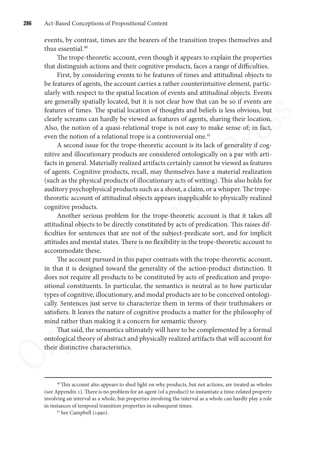events, by contrast, times are the bearers of the transition tropes themselves and thus essential.40

The trope-theoretic account, even though it appears to explain the properties that distinguish actions and their cognitive products, faces a range of difficulties.

First, by considering events to be features of times and attitudinal objects to be features of agents, the account carries a rather counterintuitive element, particularly with respect to the spatial location of events and attitudinal objects. Events are generally spatially located, but it is not clear how that can be so if events are features of times. The spatial location of thoughts and beliefs is less obvious, but clearly screams can hardly be viewed as features of agents, sharing their location. Also, the notion of a quasi-relational trope is not easy to make sense of; in fact, even the notion of a relational trope is a controversial one.<sup>41</sup>

are generally postally located, but it is not clear how that can be so if events are<br>frastures of times. The spatial location of thoughts and beliefs is less obvious, but<br>clearly screams can hardly be viewed as features of A second issue for the trope-theoretic account is its lack of generality if cognitive and illocutionary products are considered ontologically on a par with artifacts in general. Materially realized artifacts certainly cannot be viewed as features of agents. Cognitive products, recall, may themselves have a material realization (such as the physical products of illocutionary acts of writing). This also holds for auditory psychophysical products such as a shout, a claim, or a whisper. The tropetheoretic account of attitudinal objects appears inapplicable to physically realized cognitive products.

Another serious problem for the trope-theoretic account is that it takes all attitudinal objects to be directly constituted by acts of predication. This raises difficulties for sentences that are not of the subject-predicate sort, and for implicit attitudes and mental states. There is no flexibility in the trope-theoretic account to accommodate these.

The account pursued in this paper contrasts with the trope-theoretic account, in that it is designed toward the generality of the action-product distinction. It does not require all products to be constituted by acts of predication and propositional constituents. In particular, the semantics is neutral as to how particular types of cognitive, illocutionary, and modal products are to be conceived ontologically. Sentences just serve to characterize them in terms of their truthmakers or satisfiers. It leaves the nature of cognitive products a matter for the philosophy of mind rather than making it a concern for semantic theory.

That said, the semantics ultimately will have to be complemented by a formal ontological theory of abstract and physically realized artifacts that will account for their distinctive characteristics.

<sup>40</sup>This account also appears to shed light on why products, but not actions, are treated as wholes (see Appendix 1). There is no problem for an agent (of a product) to instantiate a time-related property involving an interval as a whole, but properties involving the interval as a whole can hardly play a role in instances of temporal transition properties in subsequent times.

<sup>41</sup> See Campbell (1990).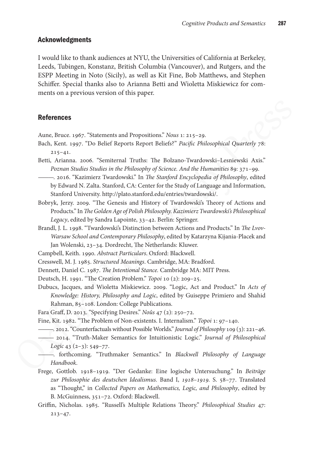### Acknowledgments

I would like to thank audiences at NYU, the Universities of California at Berkeley, Leeds, Tubingen, Konstanz, British Columbia (Vancouver), and Rutgers, and the ESPP Meeting in Noto (Sicily), as well as Kit Fine, Bob Matthews, and Stephen Schiffer. Special thanks also to Arianna Betti and Wioletta Miskiewicz for comments on a previous version of this paper.

#### References

Aune, Bruce. 1967. "Statements and Propositions." *Nous* 1: 215–29.

- Bach, Kent. 1997. "Do Belief Reports Report Beliefs?" *Pacific Philosophical Quarterly* 78: 215–41.
- Betti, Arianna. 2006. "Semiternal Truths: The Bolzano-Twardowski–Lesniewski Axis." *Poznan Studies Studies in the Philosophy of Science. And the Humanities* 89: 371–99.
- **References**<br>
Anne, Bruce. 1967. "Statements and Propositions" Now 1: 215–29.<br>
Mach, Kent. 1997. "To Belief Reports Report Beliefs?" *Pacific Philosophical Quarterly 78:*<br>
181cf., Ariama. 2006. "Semiterral Truths: The Boh ———. 2016. "Kazimierz Twardowski." In *The Stanford Encyclopedia of Philosophy*, edited by Edward N. Zalta. Stanford, CA: Center for the Study of Language and Information, Stanford University. http://plato.stanford.edu/entries/twardowski/.
	- Bobryk, Jerzy. 2009. "The Genesis and History of Twardowski's Theory of Actions and Products." In *The Golden Age of Polish Philosophy. Kazimierz Twardowski's Philosophical Legacy*, edited by Sandra Lapointe, 33–42. Berlin: Springer.
	- Brandl, J. L. 1998. "Twardowski's Distinction between Actions and Products." In *The Lvov-Warsaw School and Contemporary Philosophy*, edited by Katarzyna Kijania-Placek and Jan Wolenski, 23–34. Dordrecht, The Netherlands: Kluwer.
	- Campbell, Keith. 1990. *Abstract Particulars*. Oxford: Blackwell.
	- Cresswell, M. J. 1985. *Structured Meanings*. Cambridge, MA: Bradford.
	- Dennett, Daniel C. 1987. *The Intentional Stance.* Cambridge MA: MIT Press.
	- Deutsch, H. 1991. "The Creation Problem." *Topoi* 10 (2): 209–25.
	- Dubucs, Jacques, and Wioletta Miskiewicz. 2009. "Logic, Act and Product." In *Acts of Knowledge: History, Philosophy and Logic*, edited by Guiseppe Primiero and Shahid Rahman, 85–108. London: College Publications.

Fara Graff, D. 2013. "Specifying Desires." *Noûs* 47 (2): 250–72.

Fine, Kit. 1982. "The Problem of Non-existents. I. Internalism." *Topoi* 1: 97–140.

———. 2012. "Counterfactuals without Possible Worlds." *Journal of Philosophy* 109 (3): 221–46. ——— 2014. "Truth-Maker Semantics for Intuitionistic Logic." *Journal of Philosophical* 

- *Logic* 43 (2–3): 549–77.
- ———. forthcoming. "Truthmaker Semantics." In *Blackwell Philosophy of Language Handbook*.
- Frege, Gottlob. 1918–1919. "Der Gedanke: Eine logische Untersuchung." In *Beiträge zur Philosophie des deutschen Idealismus.* Band I, *1918–1919.* S. 58–77. Translated as "Thought," in *Collected Papers on Mathematics, Logic, and Philosophy*, edited by B. McGuinness, 351–72. Oxford: Blackwell.
- Griffin, Nicholas. 1985. "Russell's Multiple Relations Theory." *Philosophical Studies* 47:  $213 - 47.$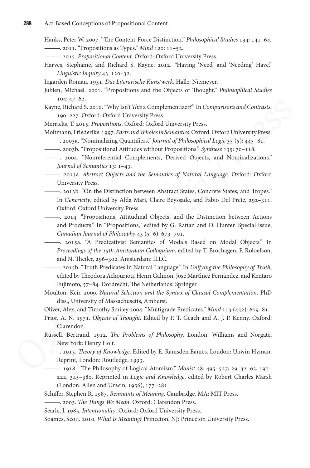Hanks, Peter W. 2007. "The Content-Force Distinction." *Philosophical Studies* 134: 141–64. ———. 2011. "Propositions as Types." *Mind* 120: 11–52.

- ———. 2015. *Propositional Content*. Oxford: Oxford University Press.
- Harves, Stephanie, and Richard S. Kayne. 2012. "Having 'Need' and 'Needing' Have." *Linguistic Inquiry* 43: 120–32.
- Ingarden Roman. 1931. *Das Literarische Kunstwerk*. Halle: Niemeyer.
- Jubien, Michael. 2001. "Propositions and the Objects of Thought." *Philosophical Studies* 104: 47–62.
- Kayne, Richard S. 2010. "Why Isn't *This* a Complementizer?" In *Comparisons and Contrasts*, 190–227. Oxford: Oxford University Press.
- Merricks, T. 2015. *Propositions*. Oxford: Oxford University Press.

Moltmann, Friederike. 1997. *Parts and Wholes in Semantics*. Oxford: Oxford University Press.

- ———. 2003a. "Nominalizing Quantifiers." *Journal of Philosophical Logic* 35 (5): 445–81.
- ———. 2003b. "Propositional Attitudes without Propositions." *Synthese* 135: 70–118.
- ———. 2004. "Nonreferential Complements, Derived Objects, and Nominalizations." *Journal of Semantics* 13: 1–43.
	- ———. 2013a. *Abstract Objects and the Semantics of Natural Language*. Oxford: Oxford University Press.
	- ———. 2013b. "On the Distinction between Abstract States, Concrete States, and Tropes." In *Genericity*, edited by Alda Mari, Claire Beyssade, and Fabio Del Prete, 292–311. Oxford: Oxford University Press.
- ———. 2014. "Propositions, Attitudinal Objects, and the Distinction between Actions and Products." In "Propositions," edited by G. Rattan and D. Hunter. Special issue, *Canadian Journal of Philosophy* 43 (5–6): 679–701.
	- ———. 2015a. "A Predicativist Semantics of Modals Based on Modal Objects." In *Proceedings of the 15th Amsterdam Colloquium*, edited by T. Brochagen, F. Roloefson, and N. Theiler, 296–302. Amsterdam: ILLC.
- Equality Press, North Markov (1991) In the Complement<br>tracers). The polaristics, Tassets America, T. 2015. Phonositars Corbid University Press,<br>Merricks, T. 2015. Prepositions: Oxford: Oxford: University Press,<br>Moltmann. ———. 2015b. "Truth Predicates in Natural Language." In *Unifying the Philosophy of Truth*, edited by Theodora Achourioti, Henri Galinon, José Martînez Fernández, and Kentaro Fujimoto, 57–84. Dordrecht, The Netherlands: Springer.
	- Moulton, Keir. 2009. *Natural Selection and the Syntax of Clausal Complementation*. PhD diss., University of Massachusetts, Amherst.
	- Oliver, Alex, and Timothy Smiley 2004. "Multigrade Predicates." *Mind* 113 (452): 609–81.
	- Prior, A. N. 1971. *Objects of Thought*. Edited by P. T. Geach and A. J. P. Kenny. Oxford: Clarendon.
	- Russell, Bertrand. 1912. *The Problems of Philosophy*, London: Williams and Norgate; New York: Henry Holt.
		- ———. 1913. *Theory of Knowledge*. Edited by E. Ramsden Eames. London: Unwin Hyman. Reprint, London: Routledge, 1993.
		- ———. 1918. "The Philosophy of Logical Atomism." *Monist* 28: 495–527; 29: 32–63, 190– 222, 345–380. Reprinted in *Logic and Knowledge*, edited by Robert Charles Marsh (London: Allen and Unwin, 1956), 177–281.
	- Schiffer, Stephen R. 1987. *Remnants of Meaning*. Cambridge, MA: MIT Press.
	- ———. 2003. *The Things We Mean*. Oxford: Clarendon Press.
	- Searle, J. 1983. *Intentionality*. Oxford: Oxford University Press.
	- Soames, Scott. 2010. *What Is Meaning?* Princeton, NJ: Princeton University Press.